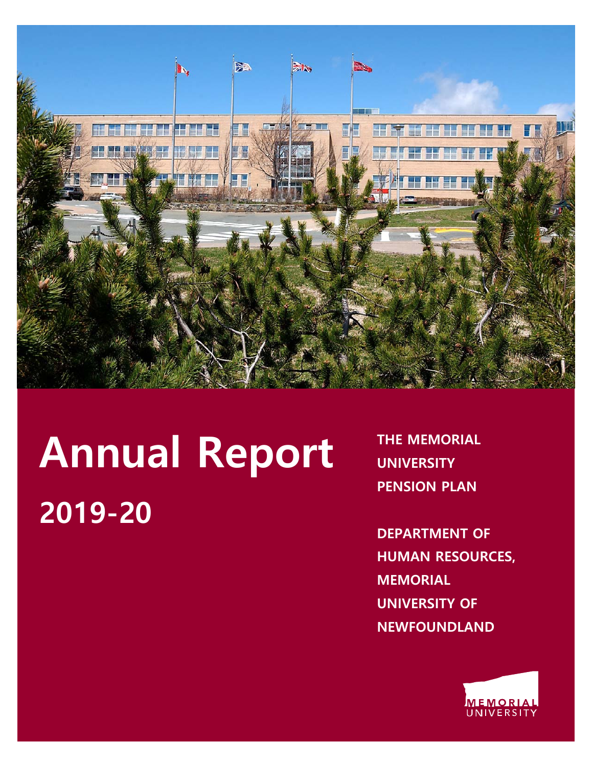

# **Annual Report 2019-20**

**THE MEMORIAL UNIVERSITY PENSION PLAN** 

**DEPARTMENT OF HUMAN RESOURCES, MEMORIAL UNIVERSITY OF NEWFOUNDLAND**

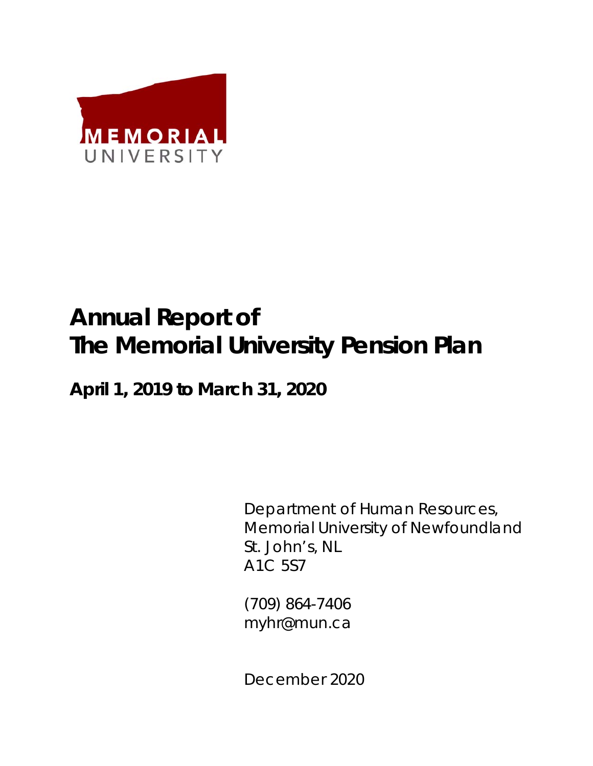

# **Annual Report of The Memorial University Pension Plan**

**April 1, 2019 to March 31, 2020** 

Department of Human Resources, Memorial University of Newfoundland St. John's, NL A1C 5S7

(709) 864-7406 myhr@mun.ca

December 2020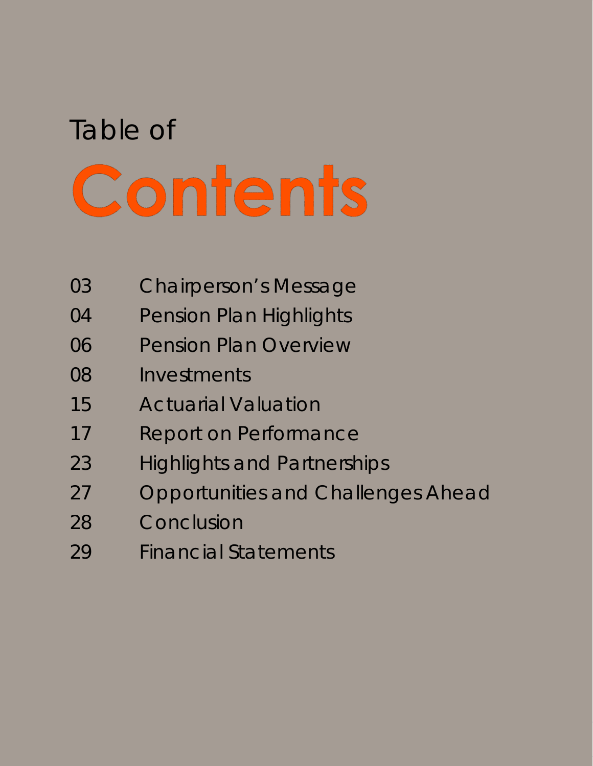# Table of Contents

- 03 Chairperson's Message
- 04 Pension Plan Highlights
- 06 Pension Plan Overview
- 08 Investments
- 15 Actuarial Valuation
- 17 Report on Performance
- 23 Highlights and Partnerships
- 27 Opportunities and Challenges Ahead
- 28 Conclusion
- 29 Financial Statements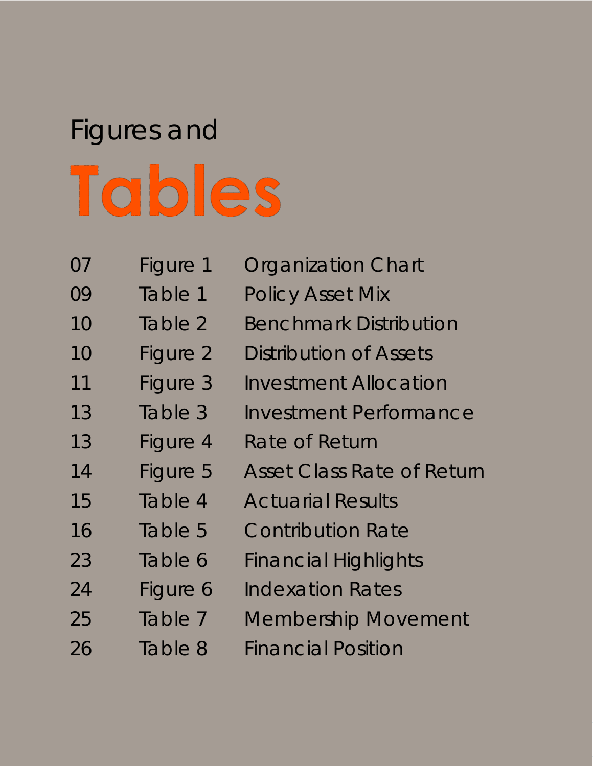# Figures and Tables

| 07 | Figure 1 | <b>Organization Chart</b>         |
|----|----------|-----------------------------------|
| 09 | Table 1  | <b>Policy Asset Mix</b>           |
| 10 | Table 2  | <b>Benchmark Distribution</b>     |
| 10 | Figure 2 | <b>Distribution of Assets</b>     |
| 11 | Figure 3 | <b>Investment Allocation</b>      |
| 13 | Table 3  | Investment Performance            |
| 13 | Figure 4 | Rate of Return                    |
| 14 | Figure 5 | <b>Asset Class Rate of Return</b> |
| 15 | Table 4  | <b>Actuarial Results</b>          |
| 16 | Table 5  | <b>Contribution Rate</b>          |
| 23 | Table 6  | <b>Financial Highlights</b>       |
| 24 | Figure 6 | <b>Indexation Rates</b>           |
| 25 | Table 7  | <b>Membership Movement</b>        |
| 26 | Table 8  | <b>Financial Position</b>         |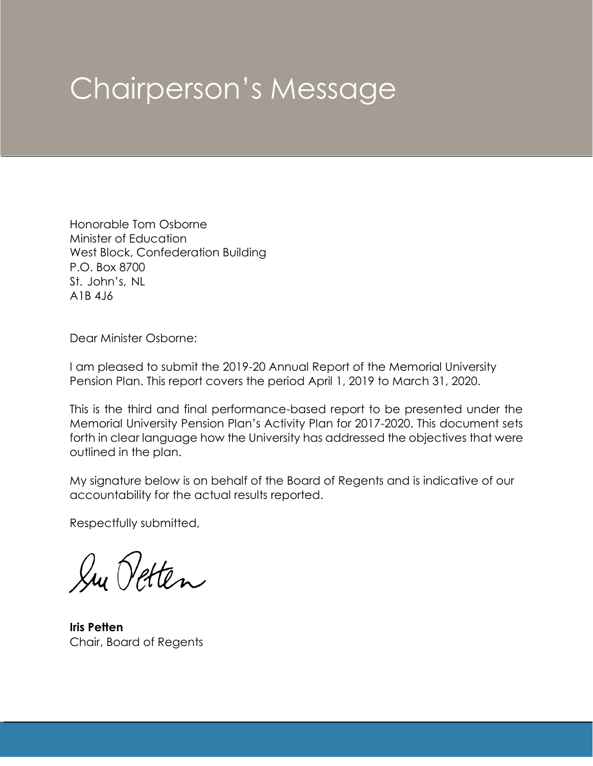# Chairperson's Message

Honorable Tom Osborne Minister of Education West Block, Confederation Building P.O. Box 8700 St. John's, NL A1B 4J6

Dear Minister Osborne:

I am pleased to submit the 2019-20 Annual Report of the Memorial University Pension Plan. This report covers the period April 1, 2019 to March 31, 2020.

This is the third and final performance-based report to be presented under the Memorial University Pension Plan's Activity Plan for 2017-2020. This document sets forth in clear language how the University has addressed the objectives that were outlined in the plan.

My signature below is on behalf of the Board of Regents and is indicative of our accountability for the actual results reported.

Respectfully submitted,

Su Vetten

**Iris Petten** Chair, Board of Regents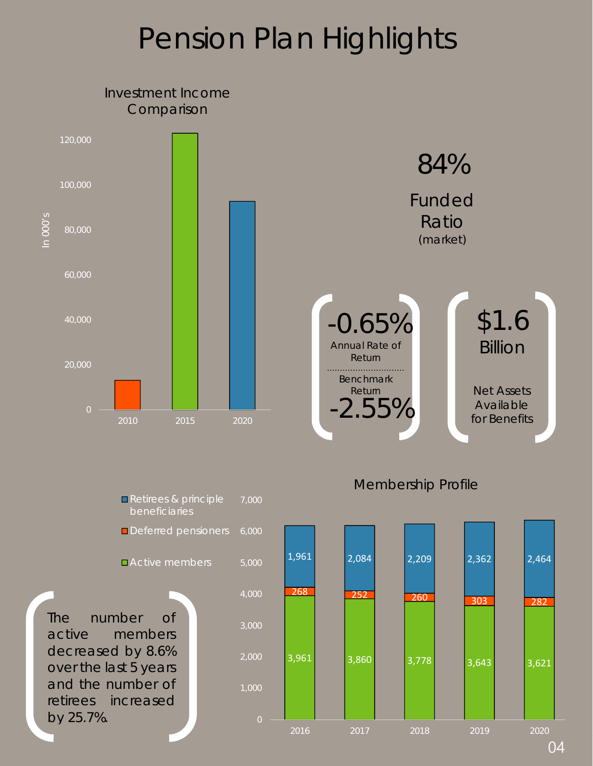# Pension Plan Highlights







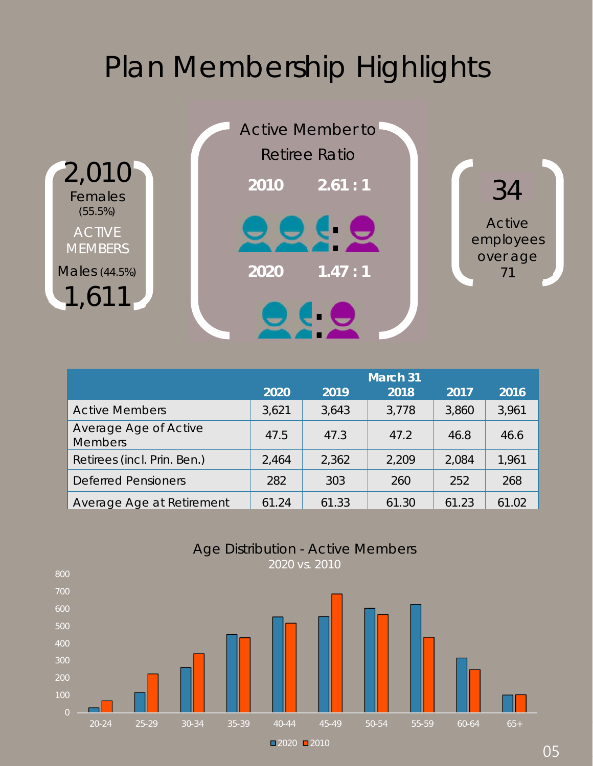# Plan Membership Highlights



|                                         |       |       | <b>March 31</b> |       |       |
|-----------------------------------------|-------|-------|-----------------|-------|-------|
|                                         | 2020  | 2019  | 2018            | 2017  | 2016  |
| <b>Active Members</b>                   | 3,621 | 3,643 | 3,778           | 3,860 | 3,961 |
| Average Age of Active<br><b>Members</b> | 47.5  | 47.3  | 47.2            | 46.8  | 46.6  |
| Retirees (incl. Prin. Ben.)             | 2,464 | 2,362 | 2.209           | 2,084 | 1,961 |
| <b>Deferred Pensioners</b>              | 282   | 303   | 260             | 252   | 268   |
| Average Age at Retirement               | 61.24 | 61.33 | 61.30           | 61.23 | 61.02 |

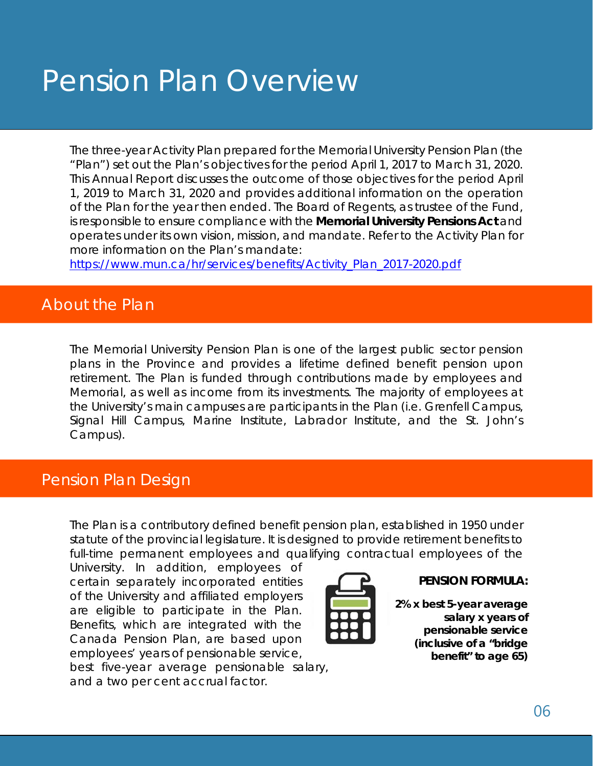# Pension Plan Overview

The three-year Activity Plan prepared for the Memorial University Pension Plan (the "Plan") set out the Plan's objectives for the period April 1, 2017 to March 31, 2020. This Annual Report discusses the outcome of those objectives for the period April 1, 2019 to March 31, 2020 and provides additional information on the operation of the Plan for the year then ended. The Board of Regents, as trustee of the Fund, is responsible to ensure compliance with the **Memorial University Pensions Act** and operates under its own vision, mission, and mandate. Refer to the Activity Plan for more information on the Plan's mandate:

https://www.mun.ca/hr/services/benefits/Activity\_Plan\_2017-2020.pdf

## About the Plan

The Memorial University Pension Plan is one of the largest public sector pension plans in the Province and provides a lifetime defined benefit pension upon retirement. The Plan is funded through contributions made by employees and Memorial, as well as income from its investments. The majority of employees at the University's main campuses are participants in the Plan (i.e. Grenfell Campus, Signal Hill Campus, Marine Institute, Labrador Institute, and the St. John's Campus).

## Pension Plan Design

The Plan is a contributory defined benefit pension plan, established in 1950 under statute of the provincial legislature. It is designed to provide retirement benefits to full-time permanent employees and qualifying contractual employees of the

University. In addition, employees of certain separately incorporated entities of the University and affiliated employers are eligible to participate in the Plan. Benefits, which are integrated with the Canada Pension Plan, are based upon employees' years of pensionable service,





#### **PENSION FORMULA:**

 **2% x best 5-year average salary x years of pensionable service (inclusive of a "bridge benefit" to age 65)**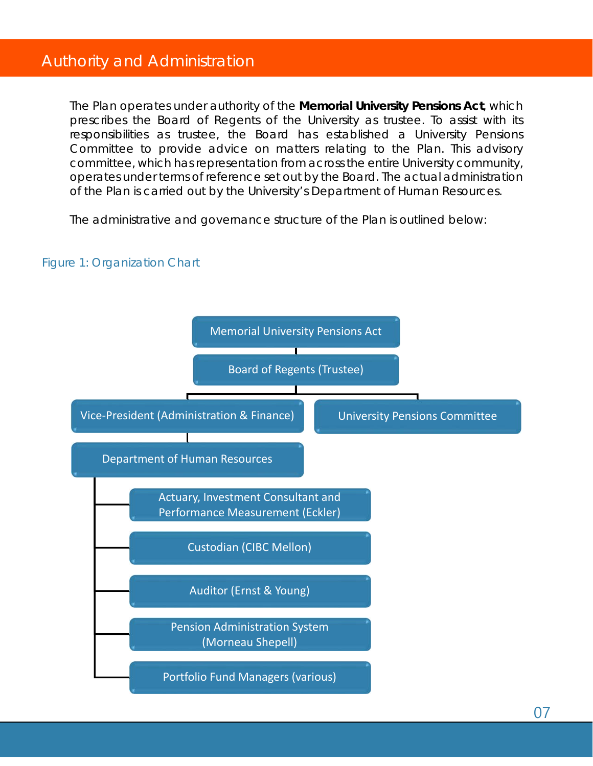The Plan operates under authority of the **Memorial University Pensions Act**, which prescribes the Board of Regents of the University as trustee. To assist with its responsibilities as trustee, the Board has established a University Pensions Committee to provide advice on matters relating to the Plan. This advisory committee, which has representation from across the entire University community, operates under terms of reference set out by the Board. The actual administration of the Plan is carried out by the University's Department of Human Resources.

The administrative and governance structure of the Plan is outlined below:

#### Figure 1: Organization Chart

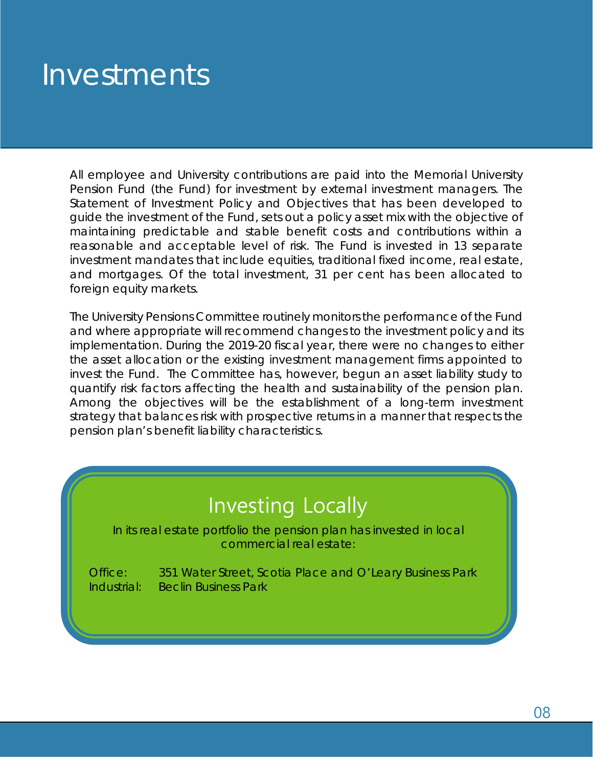# Investments

All employee and University contributions are paid into the Memorial University Pension Fund (the Fund) for investment by external investment managers. The Statement of Investment Policy and Objectives that has been developed to guide the investment of the Fund, sets out a policy asset mix with the objective of maintaining predictable and stable benefit costs and contributions within a reasonable and acceptable level of risk. The Fund is invested in 13 separate investment mandates that include equities, traditional fixed income, real estate, and mortgages. Of the total investment, 31 per cent has been allocated to foreign equity markets.

The University Pensions Committee routinely monitors the performance of the Fund and where appropriate will recommend changes to the investment policy and its implementation. During the 2019-20 fiscal year, there were no changes to either the asset allocation or the existing investment management firms appointed to invest the Fund. The Committee has, however, begun an asset liability study to quantify risk factors affecting the health and sustainability of the pension plan. Among the objectives will be the establishment of a long-term investment strategy that balances risk with prospective returns in a manner that respects the pension plan's benefit liability characteristics.

# Investing Locally

In its real estate portfolio the pension plan has invested in local commercial real estate:

Office: 351 Water Street, Scotia Place and O'Leary Business Park Industrial: Beclin Business Park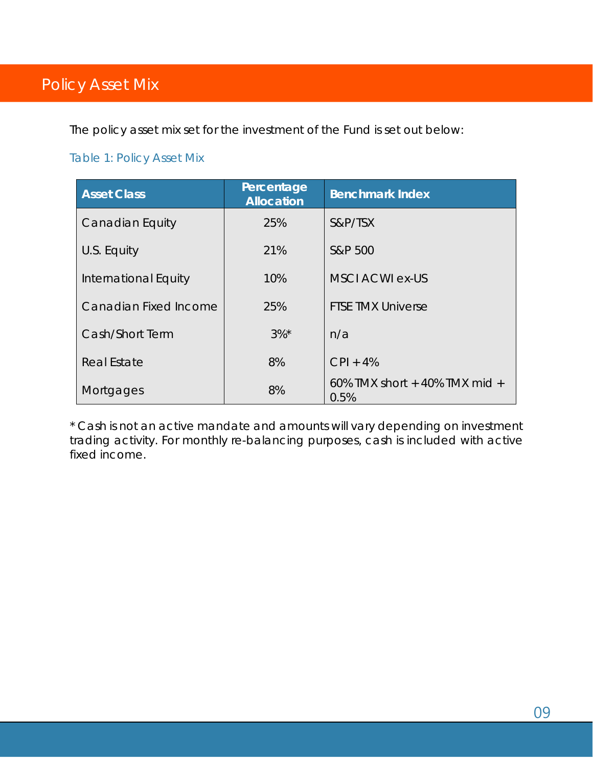# Policy Asset Mix

The policy asset mix set for the investment of the Fund is set out below:

### Table 1: Policy Asset Mix

| <b>Asset Class</b>    | Percentage<br><b>Allocation</b> | <b>Benchmark Index</b>                    |
|-----------------------|---------------------------------|-------------------------------------------|
| Canadian Equity       | 25%                             | S&P/TSX                                   |
| U.S. Equity           | 21%                             | S&P 500                                   |
| International Equity  | 10%                             | MSCI ACWI ex-US                           |
| Canadian Fixed Income | 25%                             | <b>FTSE TMX Universe</b>                  |
| Cash/Short Term       | $3\%$ *                         | n/a                                       |
| <b>Real Estate</b>    | 8%                              | $CPI + 4%$                                |
| Mortgages             | 8%                              | 60% TMX short $+$ 40% TMX mid $+$<br>0.5% |

\* Cash is not an active mandate and amounts will vary depending on investment trading activity. For monthly re-balancing purposes, cash is included with active fixed income.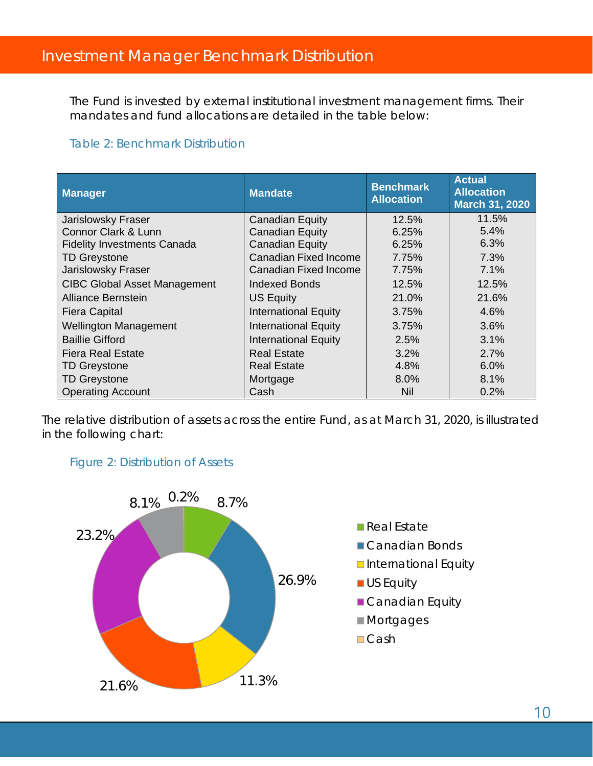The Fund is invested by external institutional investment management firms. Their mandates and fund allocations are detailed in the table below:

#### Table 2: Benchmark Distribution

| <b>Manager</b>                      | <b>Mandate</b>               | <b>Benchmark</b><br><b>Allocation</b> | <b>Actual</b><br><b>Allocation</b><br><b>March 31, 2020</b> |
|-------------------------------------|------------------------------|---------------------------------------|-------------------------------------------------------------|
| Jarislowsky Fraser                  | <b>Canadian Equity</b>       | 12.5%                                 | 11.5%                                                       |
| Connor Clark & Lunn                 | <b>Canadian Equity</b>       | 6.25%                                 | 5.4%                                                        |
| <b>Fidelity Investments Canada</b>  | <b>Canadian Equity</b>       | 6.25%                                 | 6.3%                                                        |
| <b>TD Greystone</b>                 | <b>Canadian Fixed Income</b> | 7.75%                                 | 7.3%                                                        |
| Jarislowsky Fraser                  | Canadian Fixed Income        | 7.75%                                 | 7.1%                                                        |
| <b>CIBC Global Asset Management</b> | <b>Indexed Bonds</b>         | 12.5%                                 | 12.5%                                                       |
| <b>Alliance Bernstein</b>           | <b>US Equity</b>             | 21.0%                                 | 21.6%                                                       |
| <b>Fiera Capital</b>                | <b>International Equity</b>  | 3.75%                                 | 4.6%                                                        |
| <b>Wellington Management</b>        | <b>International Equity</b>  | 3.75%                                 | 3.6%                                                        |
| <b>Baillie Gifford</b>              | <b>International Equity</b>  | 2.5%                                  | 3.1%                                                        |
| <b>Fiera Real Estate</b>            | <b>Real Estate</b>           | 3.2%                                  | 2.7%                                                        |
| <b>TD Greystone</b>                 | <b>Real Estate</b>           | 4.8%                                  | 6.0%                                                        |
| <b>TD Greystone</b>                 | Mortgage                     | 8.0%                                  | 8.1%                                                        |
| <b>Operating Account</b>            | Cash                         | Nil                                   | 0.2%                                                        |

The relative distribution of assets across the entire Fund, as at March 31, 2020, is illustrated in the following chart:



Figure 2: Distribution of Assets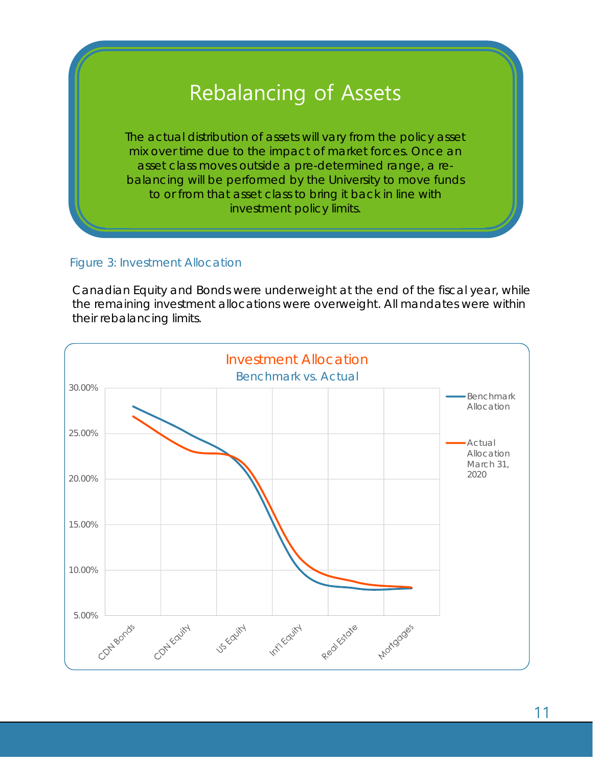# Rebalancing of Assets

The actual distribution of assets will vary from the policy asset mix over time due to the impact of market forces. Once an asset class moves outside a pre-determined range, a rebalancing will be performed by the University to move funds to or from that asset class to bring it back in line with investment policy limits.

#### Figure 3: Investment Allocation

Canadian Equity and Bonds were underweight at the end of the fiscal year, while the remaining investment allocations were overweight. All mandates were within their rebalancing limits.

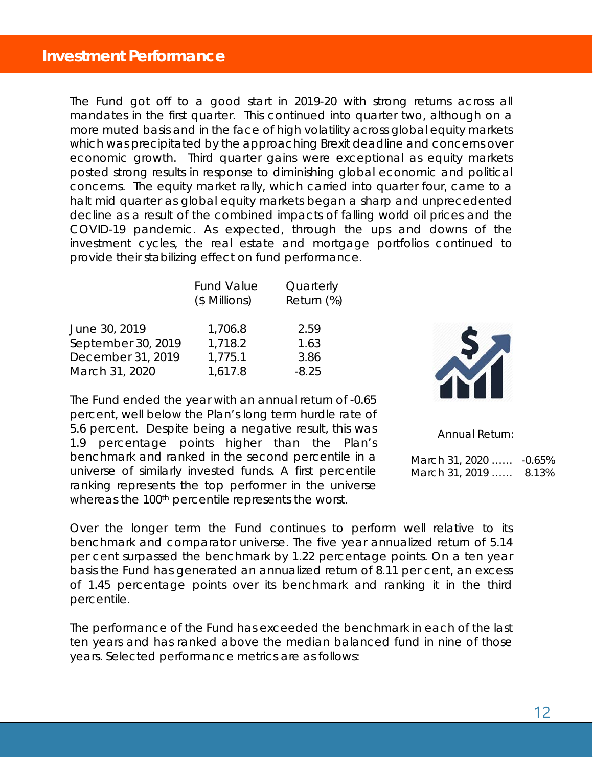The Fund got off to a good start in 2019-20 with strong returns across all mandates in the first quarter. This continued into quarter two, although on a more muted basis and in the face of high volatility across global equity markets which was precipitated by the approaching Brexit deadline and concerns over economic growth. Third quarter gains were exceptional as equity markets posted strong results in response to diminishing global economic and political concerns. The equity market rally, which carried into quarter four, came to a halt mid quarter as global equity markets began a sharp and unprecedented decline as a result of the combined impacts of falling world oil prices and the COVID-19 pandemic. As expected, through the ups and downs of the investment cycles, the real estate and mortgage portfolios continued to provide their stabilizing effect on fund performance.

|                    | <b>Fund Value</b><br>$($$ Millions) | Quarterly<br>Return (%) |
|--------------------|-------------------------------------|-------------------------|
| June 30, 2019      | 1,706.8                             | 2.59                    |
| September 30, 2019 | 1,718.2                             | 1.63                    |
| December 31, 2019  | 1,775.1                             | 3.86                    |
| March 31, 2020     | 1,617.8                             | $-8.25$                 |

The Fund ended the year with an annual return of -0.65 percent, well below the Plan's long term hurdle rate of 5.6 percent. Despite being a negative result, this was 1.9 percentage points higher than the Plan's benchmark and ranked in the second percentile in a universe of similarly invested funds. A first percentile ranking represents the top performer in the universe whereas the 100<sup>th</sup> percentile represents the worst.



Annual Return:

 March 31, 2020 …… -0.65% March 31, 2019 …… 8.13%

Over the longer term the Fund continues to perform well relative to its benchmark and comparator universe. The five year annualized return of 5.14 per cent surpassed the benchmark by 1.22 percentage points. On a ten year basis the Fund has generated an annualized return of 8.11 per cent, an excess of 1.45 percentage points over its benchmark and ranking it in the third percentile.

The performance of the Fund has exceeded the benchmark in each of the last ten years and has ranked above the median balanced fund in nine of those years. Selected performance metrics are as follows: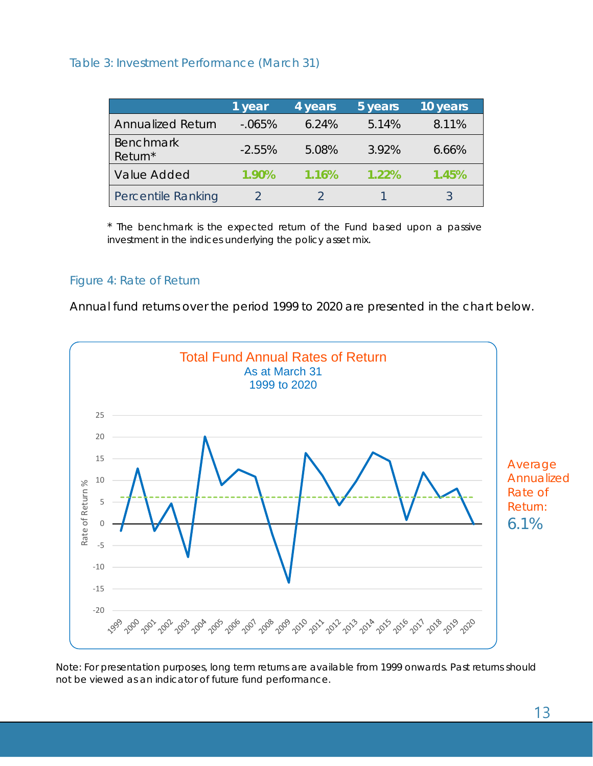### Table 3: Investment Performance (March 31)

|                             | 1 year   | 4 years | 5 years | 10 years |
|-----------------------------|----------|---------|---------|----------|
| <b>Annualized Return</b>    | $-065%$  | 6.24%   | 5.14%   | 8.11%    |
| <b>Benchmark</b><br>Return* | $-2.55%$ | 5.08%   | 3.92%   | 6.66%    |
| Value Added                 | 1.90%    | 1.16%   | 1.22%   | 1.45%    |
| <b>Percentile Ranking</b>   |          |         |         |          |

\* The benchmark is the expected return of the Fund based upon a passive investment in the indices underlying the policy asset mix.

#### Figure 4: Rate of Return

Annual fund returns over the period 1999 to 2020 are presented in the chart below.



Note: For presentation purposes, long term returns are available from 1999 onwards. Past returns should not be viewed as an indicator of future fund performance.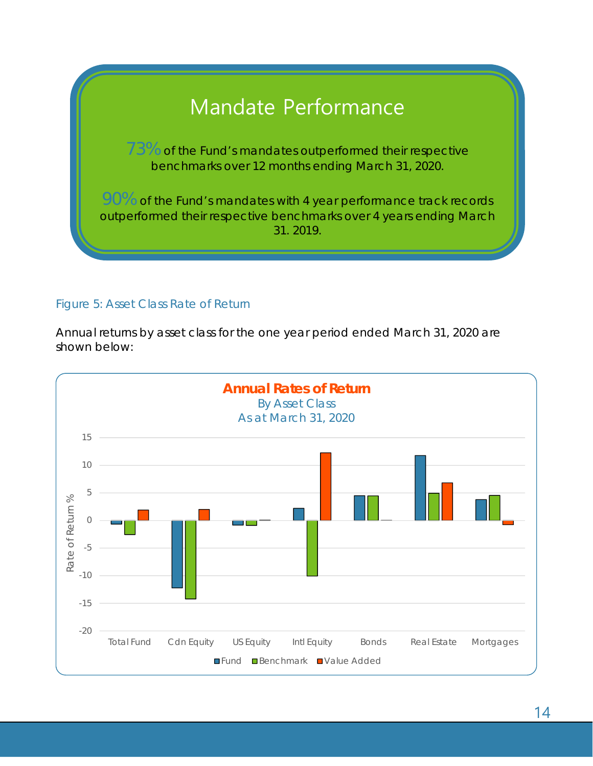

### Figure 5: Asset Class Rate of Return

Annual returns by asset class for the one year period ended March 31, 2020 are shown below:

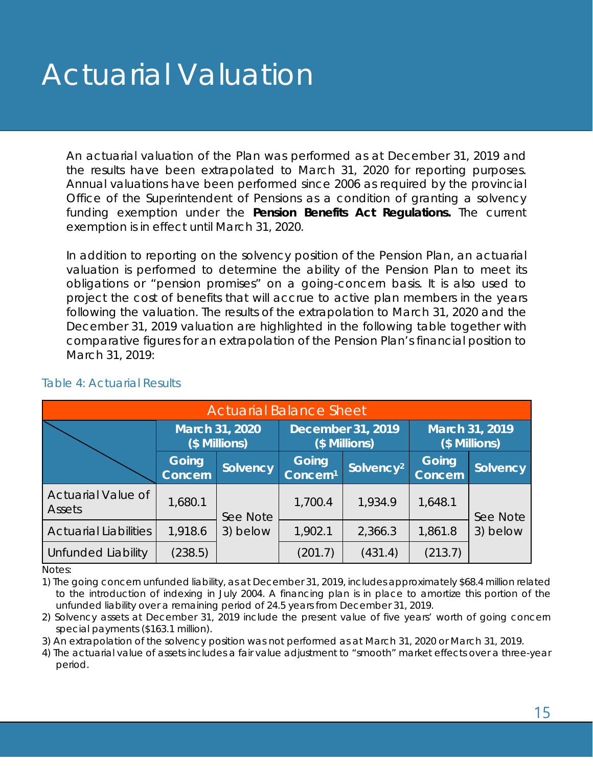# Actuarial Valuation

An actuarial valuation of the Plan was performed as at December 31, 2019 and the results have been extrapolated to March 31, 2020 for reporting purposes. Annual valuations have been performed since 2006 as required by the provincial Office of the Superintendent of Pensions as a condition of granting a solvency funding exemption under the **Pension Benefits Act Regulations.** The current exemption is in effect until March 31, 2020.

In addition to reporting on the solvency position of the Pension Plan, an actuarial valuation is performed to determine the ability of the Pension Plan to meet its obligations or "pension promises" on a going-concern basis. It is also used to project the cost of benefits that will accrue to active plan members in the years following the valuation. The results of the extrapolation to March 31, 2020 and the December 31, 2019 valuation are highlighted in the following table together with comparative figures for an extrapolation of the Pension Plan's financial position to March 31, 2019:

| <b>Actuarial Balance Sheet</b>      |                                 |          |                                                                              |                       |                  |          |
|-------------------------------------|---------------------------------|----------|------------------------------------------------------------------------------|-----------------------|------------------|----------|
|                                     | March 31, 2020<br>(\$ Millions) |          | March 31, 2019<br><b>December 31, 2019</b><br>(\$ Millions)<br>(\$ Millions) |                       |                  |          |
|                                     | Going<br>Concern                | Solvency | <b>Going</b><br>Concern <sup>1</sup>                                         | Solvency <sup>2</sup> | Going<br>Concern | Solvency |
| <b>Actuarial Value of</b><br>Assets | 1,680.1                         | See Note | 1,700.4                                                                      | 1,934.9               | 1,648.1          | See Note |
| <b>Actuarial Liabilities</b>        | 1,918.6                         | 3) below | 1,902.1                                                                      | 2,366.3               | 1,861.8          | 3) below |
| Unfunded Liability                  | (238.5)                         |          | (201.7)                                                                      | (431.4)               | (213.7)          |          |

#### *Table 4: Actuarial Results*

Notes:

1) The going concern unfunded liability, as at December 31, 2019, includes approximately \$68.4 million related to the introduction of indexing in July 2004. A financing plan is in place to amortize this portion of the unfunded liability over a remaining period of 24.5 years from December 31, 2019.

2) Solvency assets at December 31, 2019 include the present value of five years' worth of going concern special payments (\$163.1 million).

3) An extrapolation of the solvency position was not performed as at March 31, 2020 or March 31, 2019.

4) The actuarial value of assets includes a fair value adjustment to "smooth" market effects over a three-year period.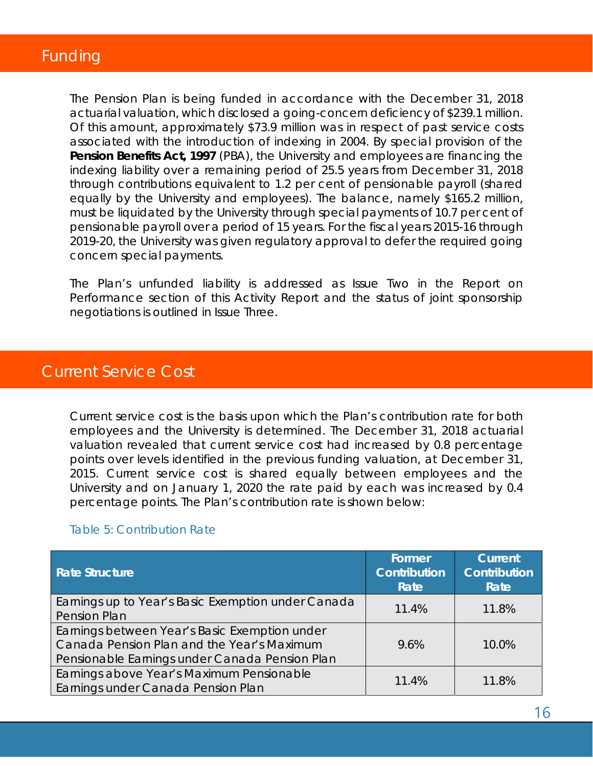# Funding

The Pension Plan is being funded in accordance with the December 31, 2018 actuarial valuation, which disclosed a going-concern deficiency of \$239.1 million. Of this amount, approximately \$73.9 million was in respect of past service costs associated with the introduction of indexing in 2004. By special provision of the **Pension Benefits Act, 1997** (PBA), the University and employees are financing the indexing liability over a remaining period of 25.5 years from December 31, 2018 through contributions equivalent to 1.2 per cent of pensionable payroll (shared equally by the University and employees). The balance, namely \$165.2 million, must be liquidated by the University through special payments of 10.7 per cent of pensionable payroll over a period of 15 years. For the fiscal years 2015-16 through 2019-20, the University was given regulatory approval to defer the required going concern special payments.

The Plan's unfunded liability is addressed as Issue Two in the Report on Performance section of this Activity Report and the status of joint sponsorship negotiations is outlined in Issue Three.

### Current Service Cost

Current service cost is the basis upon which the Plan's contribution rate for both employees and the University is determined. The December 31, 2018 actuarial valuation revealed that current service cost had increased by 0.8 percentage points over levels identified in the previous funding valuation, at December 31, 2015. Current service cost is shared equally between employees and the University and on January 1, 2020 the rate paid by each was increased by 0.4 percentage points. The Plan's contribution rate is shown below:

#### Table 5: Contribution Rate

| <b>Rate Structure</b>                                                                                                                         | Former<br><b>Contribution</b><br>Rate | <b>Current</b><br><b>Contribution</b><br>Rate |
|-----------------------------------------------------------------------------------------------------------------------------------------------|---------------------------------------|-----------------------------------------------|
| Earnings up to Year's Basic Exemption under Canada<br>Pension Plan                                                                            | 11.4%                                 | 11.8%                                         |
| Earnings between Year's Basic Exemption under<br>Canada Pension Plan and the Year's Maximum<br>Pensionable Earnings under Canada Pension Plan | 9.6%                                  | 10.0%                                         |
| Earnings above Year's Maximum Pensionable<br>Earnings under Canada Pension Plan                                                               | 11.4%                                 | 11.8%                                         |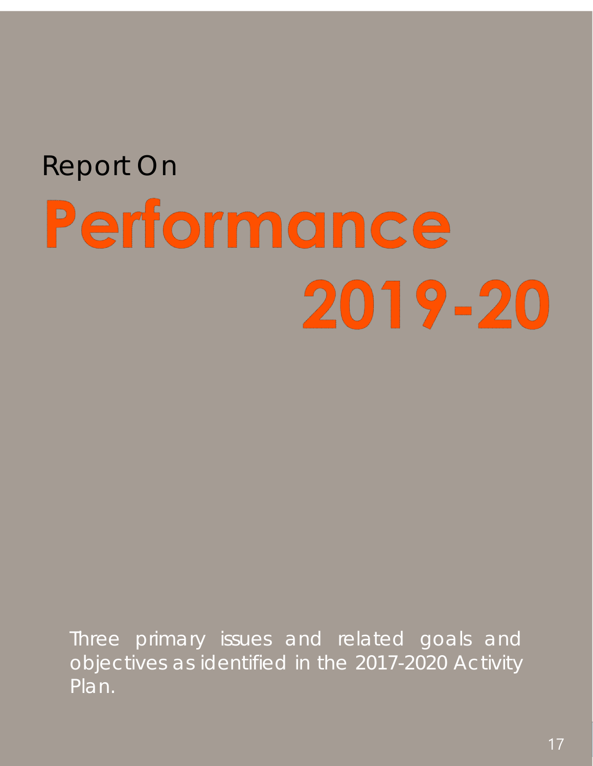# Report On Performance 2019-20

Three primary issues and related goals and objectives as identified in the 2017-2020 Activity Plan.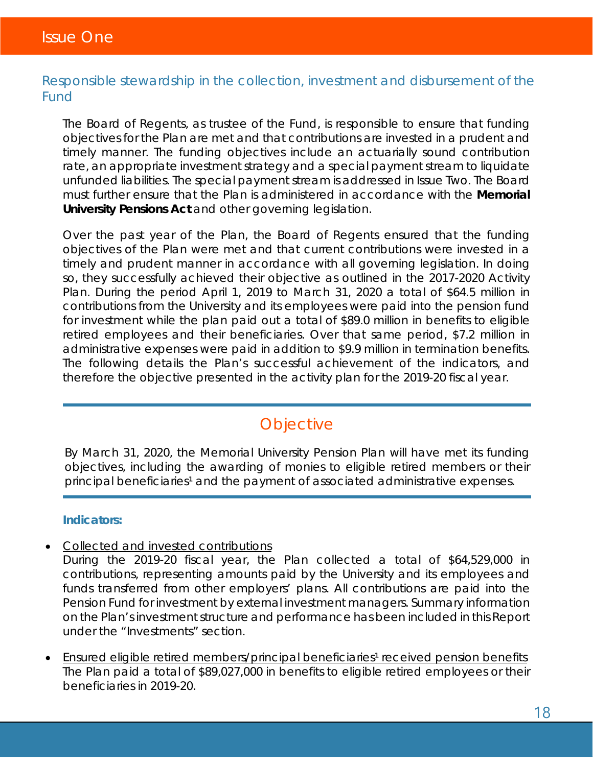### Responsible stewardship in the collection, investment and disbursement of the Fund

The Board of Regents, as trustee of the Fund, is responsible to ensure that funding objectives for the Plan are met and that contributions are invested in a prudent and timely manner. The funding objectives include an actuarially sound contribution rate, an appropriate investment strategy and a special payment stream to liquidate unfunded liabilities. The special payment stream is addressed in Issue Two. The Board must further ensure that the Plan is administered in accordance with the **Memorial University Pensions Act** and other governing legislation.

Over the past year of the Plan, the Board of Regents ensured that the funding objectives of the Plan were met and that current contributions were invested in a timely and prudent manner in accordance with all governing legislation. In doing so, they successfully achieved their objective as outlined in the 2017-2020 Activity Plan. During the period April 1, 2019 to March 31, 2020 a total of \$64.5 million in contributions from the University and its employees were paid into the pension fund for investment while the plan paid out a total of \$89.0 million in benefits to eligible retired employees and their beneficiaries. Over that same period, \$7.2 million in administrative expenses were paid in addition to \$9.9 million in termination benefits. The following details the Plan's successful achievement of the indicators, and therefore the objective presented in the activity plan for the 2019-20 fiscal year.

# **Objective**

By March 31, 2020, the Memorial University Pension Plan will have met its funding objectives, including the awarding of monies to eligible retired members or their principal beneficiaries<sup>1</sup> and the payment of associated administrative expenses.

#### **Indicators:**

• Collected and invested contributions

During the 2019-20 fiscal year, the Plan collected a total of \$64,529,000 in contributions, representing amounts paid by the University and its employees and funds transferred from other employers' plans. All contributions are paid into the Pension Fund for investment by external investment managers. Summary information on the Plan's investment structure and performance has been included in this Report under the "Investments" section.

• Ensured eligible retired members/principal beneficiaries<sup>1</sup> received pension benefits The Plan paid a total of \$89,027,000 in benefits to eligible retired employees or their beneficiaries in 2019-20.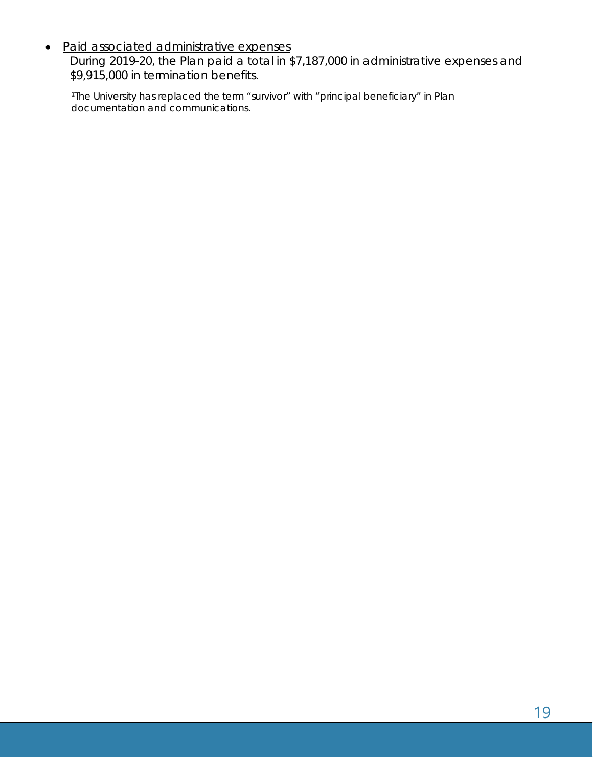• Paid associated administrative expenses

During 2019-20, the Plan paid a total in \$7,187,000 in administrative expenses and \$9,915,000 in termination benefits.

The University has replaced the term "survivor" with "principal beneficiary" in Plan documentation and communications.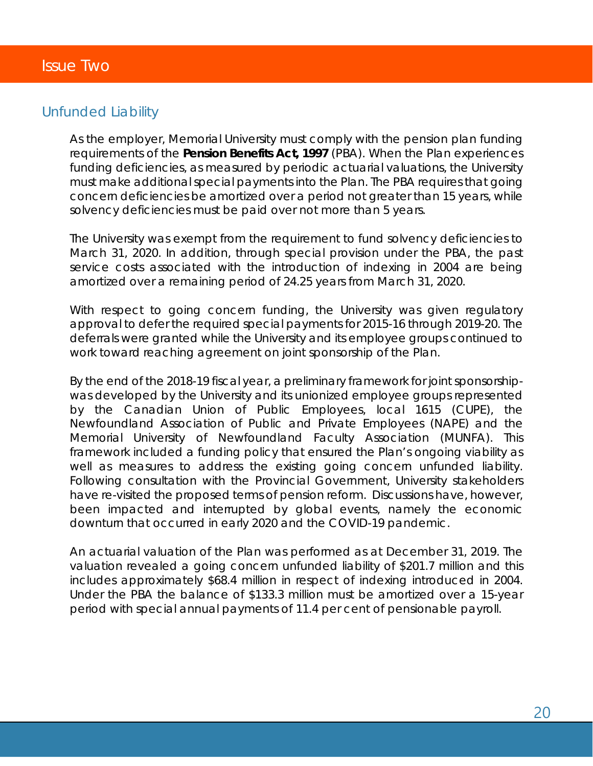### Unfunded Liability

As the employer, Memorial University must comply with the pension plan funding requirements of the **Pension Benefits Act, 1997** (PBA). When the Plan experiences funding deficiencies, as measured by periodic actuarial valuations, the University must make additional special payments into the Plan. The PBA requires that going concern deficiencies be amortized over a period not greater than 15 years, while solvency deficiencies must be paid over not more than 5 years.

The University was exempt from the requirement to fund solvency deficiencies to March 31, 2020. In addition, through special provision under the PBA, the past service costs associated with the introduction of indexing in 2004 are being amortized over a remaining period of 24.25 years from March 31, 2020.

With respect to going concern funding, the University was given regulatory approval to defer the required special payments for 2015-16 through 2019-20. The deferrals were granted while the University and its employee groups continued to work toward reaching agreement on joint sponsorship of the Plan.

By the end of the 2018-19 fiscal year, a preliminary framework for joint sponsorshipwas developed by the University and its unionized employee groups represented by the Canadian Union of Public Employees, local 1615 (CUPE), the Newfoundland Association of Public and Private Employees (NAPE) and the Memorial University of Newfoundland Faculty Association (MUNFA). This framework included a funding policy that ensured the Plan's ongoing viability as well as measures to address the existing going concern unfunded liability. Following consultation with the Provincial Government, University stakeholders have re-visited the proposed terms of pension reform. Discussions have, however, been impacted and interrupted by global events, namely the economic downturn that occurred in early 2020 and the COVID-19 pandemic.

An actuarial valuation of the Plan was performed as at December 31, 2019. The valuation revealed a going concern unfunded liability of \$201.7 million and this includes approximately \$68.4 million in respect of indexing introduced in 2004. Under the PBA the balance of \$133.3 million must be amortized over a 15-year period with special annual payments of 11.4 per cent of pensionable payroll.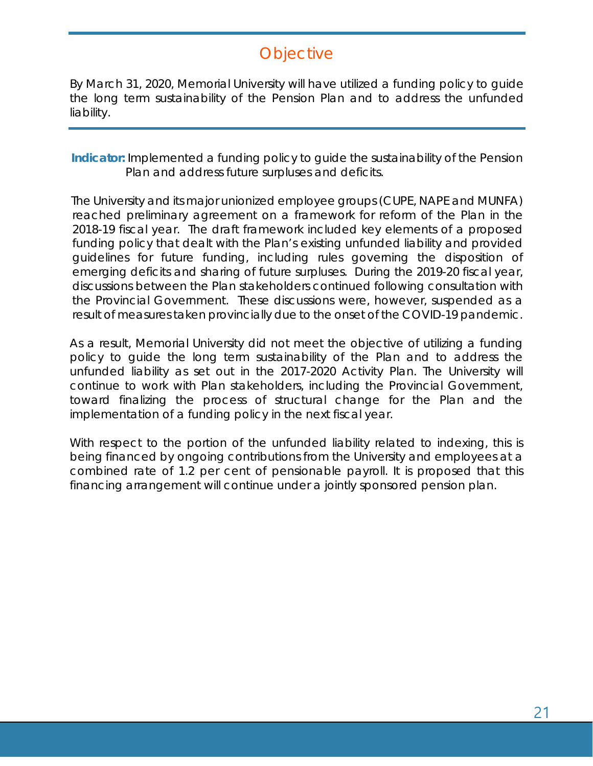# **Objective**

By March 31, 2020, Memorial University will have utilized a funding policy to guide the long term sustainability of the Pension Plan and to address the unfunded liability.

**Indicator:** Implemented a funding policy to guide the sustainability of the Pension Plan and address future surpluses and deficits.

The University and its major unionized employee groups (CUPE, NAPE and MUNFA) reached preliminary agreement on a framework for reform of the Plan in the 2018-19 fiscal year. The draft framework included key elements of a proposed funding policy that dealt with the Plan's existing unfunded liability and provided guidelines for future funding, including rules governing the disposition of emerging deficits and sharing of future surpluses. During the 2019-20 fiscal year, discussions between the Plan stakeholders continued following consultation with the Provincial Government. These discussions were, however, suspended as a result of measures taken provincially due to the onset of the COVID-19 pandemic.

As a result, Memorial University did not meet the objective of utilizing a funding policy to guide the long term sustainability of the Plan and to address the unfunded liability as set out in the 2017-2020 Activity Plan. The University will continue to work with Plan stakeholders, including the Provincial Government, toward finalizing the process of structural change for the Plan and the implementation of a funding policy in the next fiscal year.

With respect to the portion of the unfunded liability related to indexing, this is being financed by ongoing contributions from the University and employees at a combined rate of 1.2 per cent of pensionable payroll. It is proposed that this financing arrangement will continue under a jointly sponsored pension plan.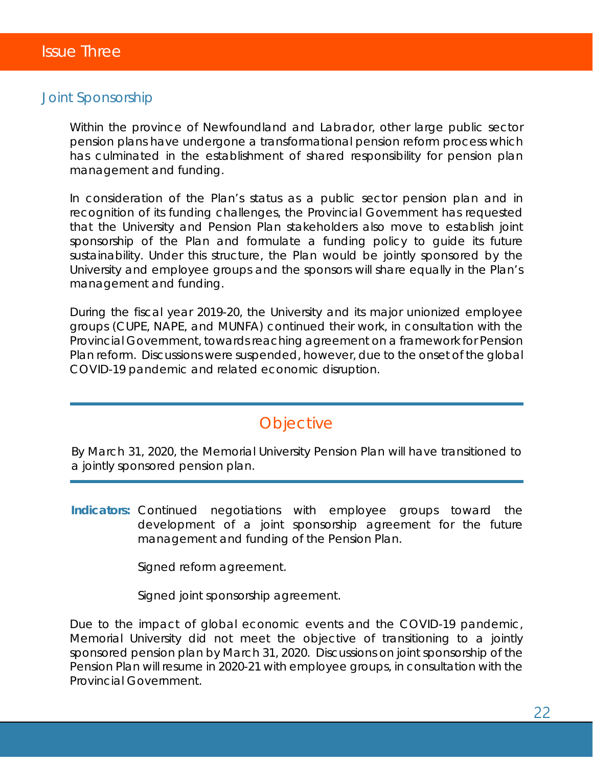### Joint Sponsorship

Within the province of Newfoundland and Labrador, other large public sector pension plans have undergone a transformational pension reform process which has culminated in the establishment of shared responsibility for pension plan management and funding.

In consideration of the Plan's status as a public sector pension plan and in recognition of its funding challenges, the Provincial Government has requested that the University and Pension Plan stakeholders also move to establish joint sponsorship of the Plan and formulate a funding policy to guide its future sustainability. Under this structure, the Plan would be jointly sponsored by the University and employee groups and the sponsors will share equally in the Plan's management and funding.

During the fiscal year 2019-20, the University and its major unionized employee groups (CUPE, NAPE, and MUNFA) continued their work, in consultation with the Provincial Government, towards reaching agreement on a framework for Pension Plan reform. Discussions were suspended, however, due to the onset of the global COVID-19 pandemic and related economic disruption.

# **Objective**

By March 31, 2020, the Memorial University Pension Plan will have transitioned to a jointly sponsored pension plan.

**Indicators:** Continued negotiations with employee groups toward the development of a joint sponsorship agreement for the future management and funding of the Pension Plan.

Signed reform agreement.

Signed joint sponsorship agreement.

Due to the impact of global economic events and the COVID-19 pandemic, Memorial University did not meet the objective of transitioning to a jointly sponsored pension plan by March 31, 2020. Discussions on joint sponsorship of the Pension Plan will resume in 2020-21 with employee groups, in consultation with the Provincial Government.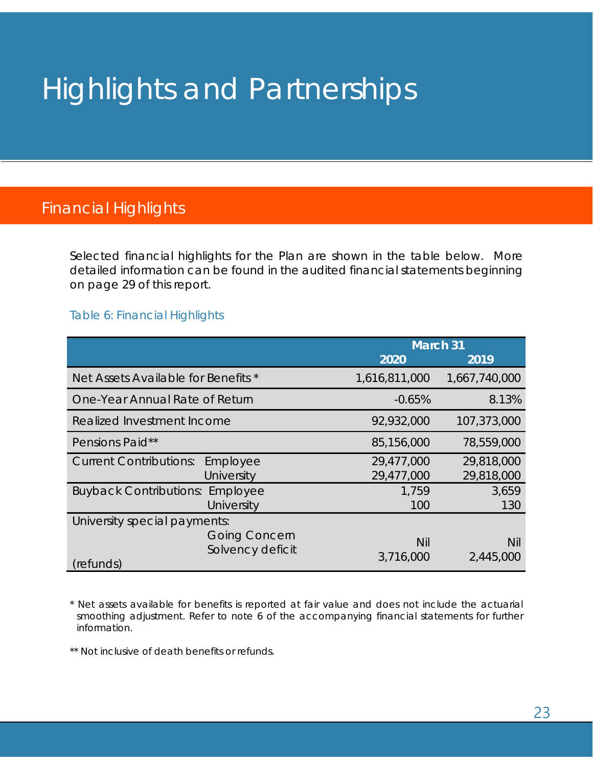# Highlights and Partnerships

# Financial Highlights

Selected financial highlights for the Plan are shown in the table below. More detailed information can be found in the audited financial statements beginning on page 29 of this report.

#### Table 6: Financial Highlights

|                                        |                      |               | <b>March 31</b> |
|----------------------------------------|----------------------|---------------|-----------------|
|                                        |                      | 2020          | 2019            |
| Net Assets Available for Benefits *    |                      | 1,616,811,000 | 1,667,740,000   |
| One-Year Annual Rate of Return         |                      | $-0.65%$      | 8.13%           |
| Realized Investment Income             |                      | 92,932,000    | 107,373,000     |
| Pensions Paid**                        |                      | 85,156,000    | 78,559,000      |
| <b>Current Contributions:</b>          | Employee             | 29,477,000    | 29,818,000      |
|                                        | University           | 29,477,000    | 29,818,000      |
| <b>Buyback Contributions: Employee</b> |                      | 1,759         | 3,659           |
|                                        | University           | 100           | 130             |
| University special payments:           |                      |               |                 |
|                                        | <b>Going Concern</b> | Nil           | Nil             |
|                                        | Solvency deficit     | 3,716,000     | 2,445,000       |
| (refunds)                              |                      |               |                 |

\* Net assets available for benefits is reported at fair value and does not include the actuarial smoothing adjustment. Refer to note 6 of the accompanying financial statements for further information.

\*\* Not inclusive of death benefits or refunds.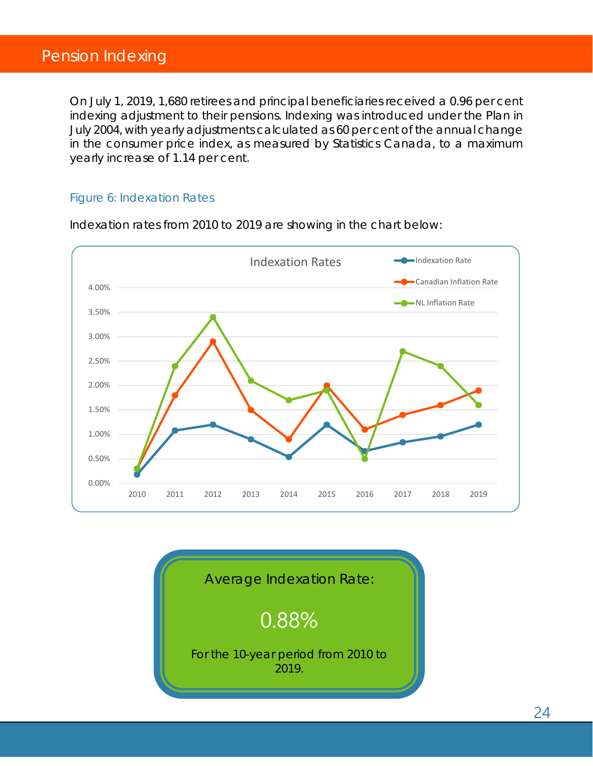On July 1, 2019, 1,680 retirees and principal beneficiaries received a 0.96 per cent indexing adjustment to their pensions. Indexing was introduced under the Plan in July 2004, with yearly adjustments calculated as 60 per cent of the annual change in the consumer price index, as measured by Statistics Canada, to a maximum yearly increase of 1.14 per cent.

#### Figure 6: Indexation Rates



Indexation rates from 2010 to 2019 are showing in the chart below:

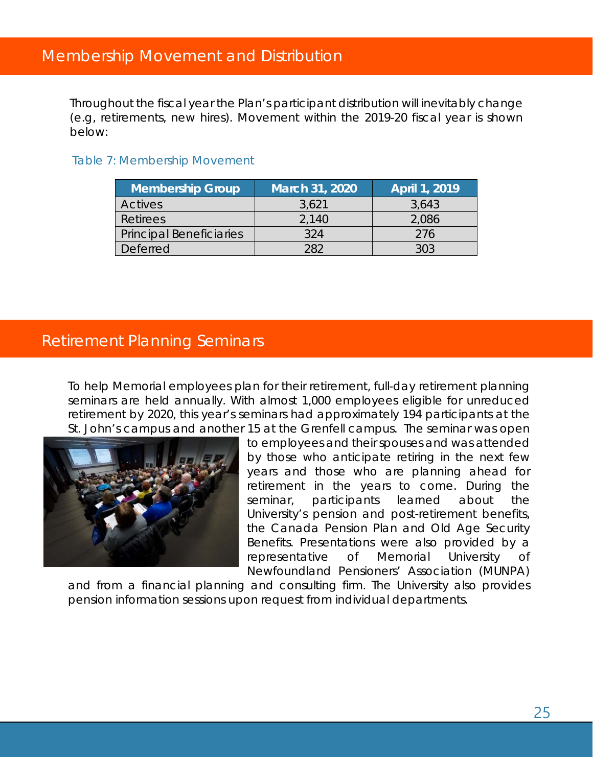Throughout the fiscal year the Plan's participant distribution will inevitably change (e.g, retirements, new hires). Movement within the 2019-20 fiscal year is shown below:

#### Table 7: Membership Movement

| <b>Membership Group</b>        | March 31, 2020 | April 1, 2019 |
|--------------------------------|----------------|---------------|
| Actives                        | 3,621          | 3,643         |
| Retirees                       | 2.140          | 2,086         |
| <b>Principal Beneficiaries</b> | 324            | 276           |
| <b>Deferred</b>                | 282            | 303           |

## Retirement Planning Seminars

To help Memorial employees plan for their retirement, full-day retirement planning seminars are held annually. With almost 1,000 employees eligible for unreduced retirement by 2020, this year's seminars had approximately 194 participants at the St. John's campus and another 15 at the Grenfell campus. The seminar was open



to employees and their spouses and was attended by those who anticipate retiring in the next few years and those who are planning ahead for retirement in the years to come. During the seminar, participants learned about the University's pension and post-retirement benefits, the Canada Pension Plan and Old Age Security Benefits. Presentations were also provided by a representative of Memorial University of Newfoundland Pensioners' Association (MUNPA)

and from a financial planning and consulting firm. The University also provides pension information sessions upon request from individual departments.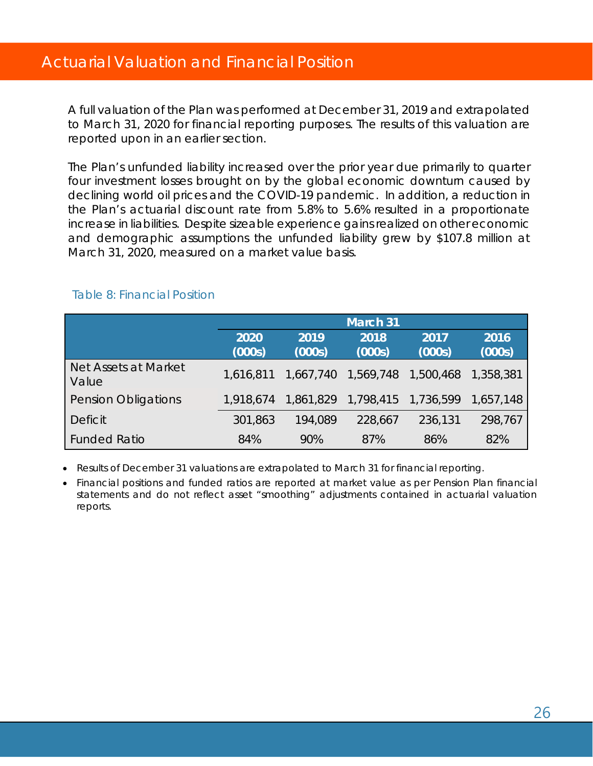# Actuarial Valuation and Financial Position

A full valuation of the Plan was performed at December 31, 2019 and extrapolated to March 31, 2020 for financial reporting purposes. The results of this valuation are reported upon in an earlier section.

The Plan's unfunded liability increased over the prior year due primarily to quarter four investment losses brought on by the global economic downturn caused by declining world oil prices and the COVID-19 pandemic. In addition, a reduction in the Plan's actuarial discount rate from 5.8% to 5.6% resulted in a proportionate increase in liabilities. Despite sizeable experience gains realized on other economic and demographic assumptions the unfunded liability grew by \$107.8 million at March 31, 2020, measured on a market value basis.

|                               |                |                | March 31                      |                |                |
|-------------------------------|----------------|----------------|-------------------------------|----------------|----------------|
|                               | 2020<br>(000s) | 2019<br>(000s) | 2018<br>(000s)                | 2017<br>(000s) | 2016<br>(000s) |
| Net Assets at Market<br>Value | 1.616.811      | 1,667,740      | 1,569,748                     | 1,500,468      | 1,358,381      |
| <b>Pension Obligations</b>    | 1.918.674      |                | 1,861,829 1,798,415 1,736,599 |                | 1,657,148      |
| <b>Deficit</b>                | 301,863        | 194,089        | 228,667                       | 236,131        | 298,767        |
| <b>Funded Ratio</b>           | 84%            | 90%            | 87%                           | 86%            | 82%            |

#### Table 8: Financial Position

Results of December 31 valuations are extrapolated to March 31 for financial reporting.

 Financial positions and funded ratios are reported at market value as per Pension Plan financial statements and do not reflect asset "smoothing" adjustments contained in actuarial valuation reports.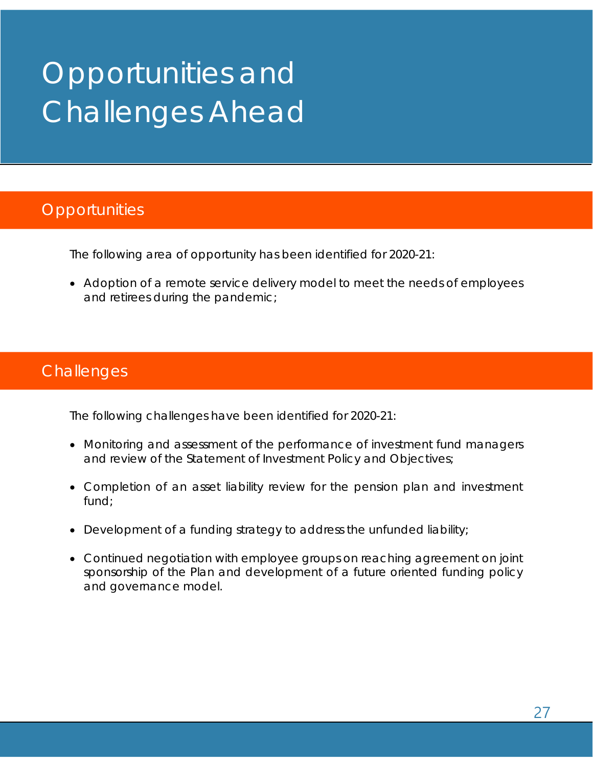# Opportunities and Challenges Ahead

# **Opportunities**

The following area of opportunity has been identified for 2020-21:

 Adoption of a remote service delivery model to meet the needs of employees and retirees during the pandemic;

# **Challenges**

The following challenges have been identified for 2020-21:

- Monitoring and assessment of the performance of investment fund managers and review of the Statement of Investment Policy and Objectives;
- Completion of an asset liability review for the pension plan and investment fund;
- Development of a funding strategy to address the unfunded liability;
- Continued negotiation with employee groups on reaching agreement on joint sponsorship of the Plan and development of a future oriented funding policy and governance model.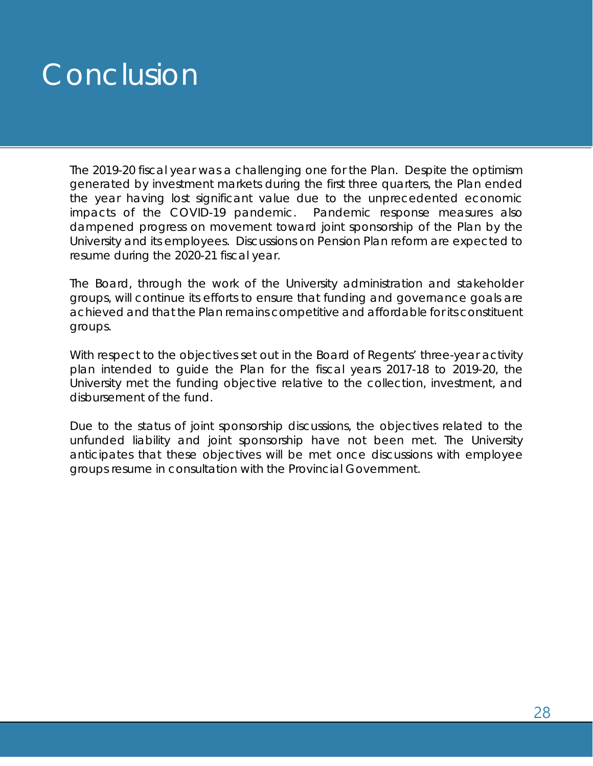# Conclusion

The 2019-20 fiscal year was a challenging one for the Plan. Despite the optimism generated by investment markets during the first three quarters, the Plan ended the year having lost significant value due to the unprecedented economic impacts of the COVID-19 pandemic. Pandemic response measures also dampened progress on movement toward joint sponsorship of the Plan by the University and its employees. Discussions on Pension Plan reform are expected to resume during the 2020-21 fiscal year.

The Board, through the work of the University administration and stakeholder groups, will continue its efforts to ensure that funding and governance goals are achieved and that the Plan remains competitive and affordable for its constituent groups.

With respect to the objectives set out in the Board of Regents' three-year activity plan intended to guide the Plan for the fiscal years 2017-18 to 2019-20, the University met the funding objective relative to the collection, investment, and disbursement of the fund.

Due to the status of joint sponsorship discussions, the objectives related to the unfunded liability and joint sponsorship have not been met. The University anticipates that these objectives will be met once discussions with employee groups resume in consultation with the Provincial Government.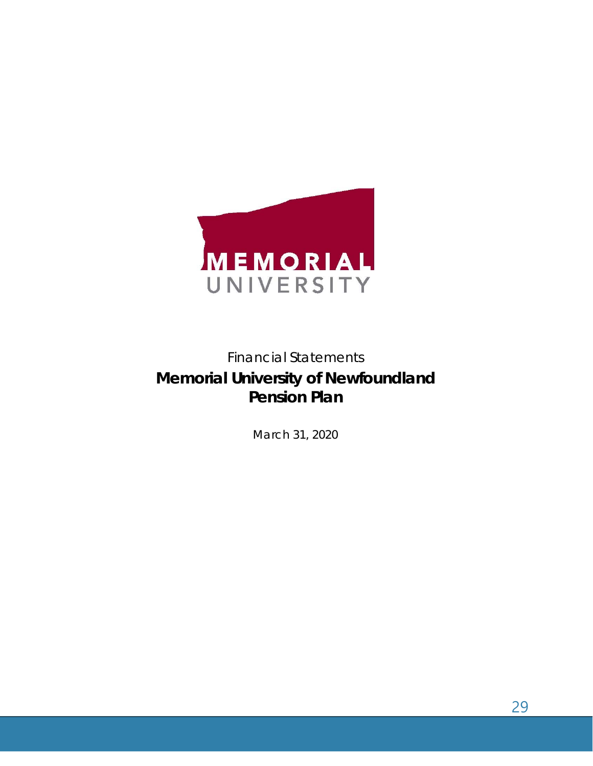

# Financial Statements **Memorial University of Newfoundland Pension Plan**

March 31, 2020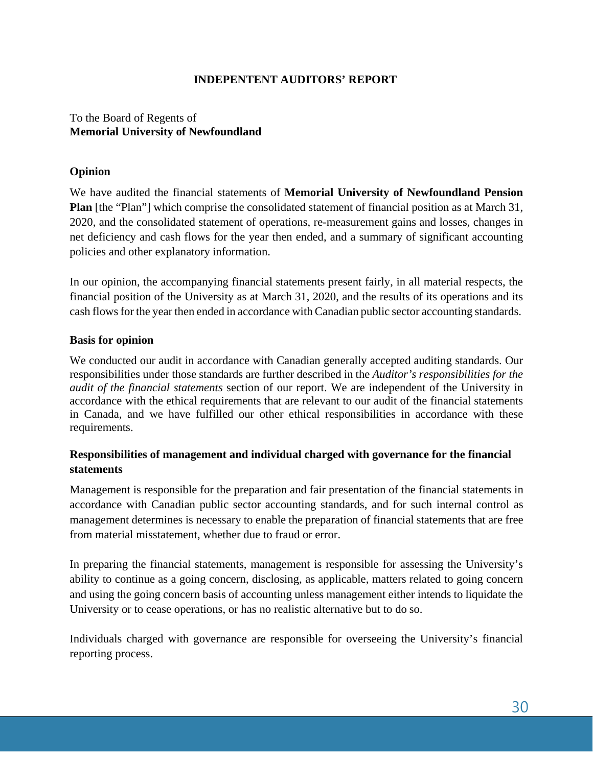#### **INDEPENTENT AUDITORS' REPORT**

#### To the Board of Regents of **Memorial University of Newfoundland**

#### **Opinion**

We have audited the financial statements of **Memorial University of Newfoundland Pension Plan** [the "Plan"] which comprise the consolidated statement of financial position as at March 31, 2020, and the consolidated statement of operations, re-measurement gains and losses, changes in net deficiency and cash flows for the year then ended, and a summary of significant accounting policies and other explanatory information.

In our opinion, the accompanying financial statements present fairly, in all material respects, the financial position of the University as at March 31, 2020, and the results of its operations and its cash flows for the year then ended in accordance with Canadian public sector accounting standards.

#### **Basis for opinion**

We conducted our audit in accordance with Canadian generally accepted auditing standards. Our responsibilities under those standards are further described in the *Auditor's responsibilities for the audit of the financial statements* section of our report. We are independent of the University in accordance with the ethical requirements that are relevant to our audit of the financial statements in Canada, and we have fulfilled our other ethical responsibilities in accordance with these requirements.

#### **Responsibilities of management and individual charged with governance for the financial statements**

Management is responsible for the preparation and fair presentation of the financial statements in accordance with Canadian public sector accounting standards, and for such internal control as management determines is necessary to enable the preparation of financial statements that are free from material misstatement, whether due to fraud or error.

In preparing the financial statements, management is responsible for assessing the University's ability to continue as a going concern, disclosing, as applicable, matters related to going concern and using the going concern basis of accounting unless management either intends to liquidate the University or to cease operations, or has no realistic alternative but to do so.

Individuals charged with governance are responsible for overseeing the University's financial reporting process.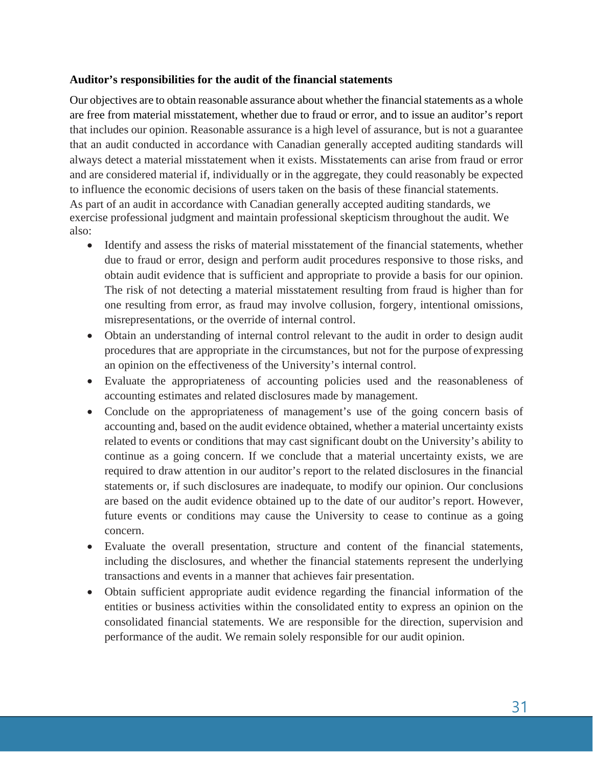#### **Auditor's responsibilities for the audit of the financial statements**

Our objectives are to obtain reasonable assurance about whether the financial statements as a whole are free from material misstatement, whether due to fraud or error, and to issue an auditor's report that includes our opinion. Reasonable assurance is a high level of assurance, but is not a guarantee that an audit conducted in accordance with Canadian generally accepted auditing standards will always detect a material misstatement when it exists. Misstatements can arise from fraud or error and are considered material if, individually or in the aggregate, they could reasonably be expected to influence the economic decisions of users taken on the basis of these financial statements. As part of an audit in accordance with Canadian generally accepted auditing standards, we exercise professional judgment and maintain professional skepticism throughout the audit. We also:

- Identify and assess the risks of material misstatement of the financial statements, whether due to fraud or error, design and perform audit procedures responsive to those risks, and obtain audit evidence that is sufficient and appropriate to provide a basis for our opinion. The risk of not detecting a material misstatement resulting from fraud is higher than for one resulting from error, as fraud may involve collusion, forgery, intentional omissions, misrepresentations, or the override of internal control.
- Obtain an understanding of internal control relevant to the audit in order to design audit procedures that are appropriate in the circumstances, but not for the purpose of expressing an opinion on the effectiveness of the University's internal control.
- Evaluate the appropriateness of accounting policies used and the reasonableness of accounting estimates and related disclosures made by management.
- Conclude on the appropriateness of management's use of the going concern basis of accounting and, based on the audit evidence obtained, whether a material uncertainty exists related to events or conditions that may cast significant doubt on the University's ability to continue as a going concern. If we conclude that a material uncertainty exists, we are required to draw attention in our auditor's report to the related disclosures in the financial statements or, if such disclosures are inadequate, to modify our opinion. Our conclusions are based on the audit evidence obtained up to the date of our auditor's report. However, future events or conditions may cause the University to cease to continue as a going concern.
- Evaluate the overall presentation, structure and content of the financial statements, including the disclosures, and whether the financial statements represent the underlying transactions and events in a manner that achieves fair presentation.
- Obtain sufficient appropriate audit evidence regarding the financial information of the entities or business activities within the consolidated entity to express an opinion on the consolidated financial statements. We are responsible for the direction, supervision and performance of the audit. We remain solely responsible for our audit opinion.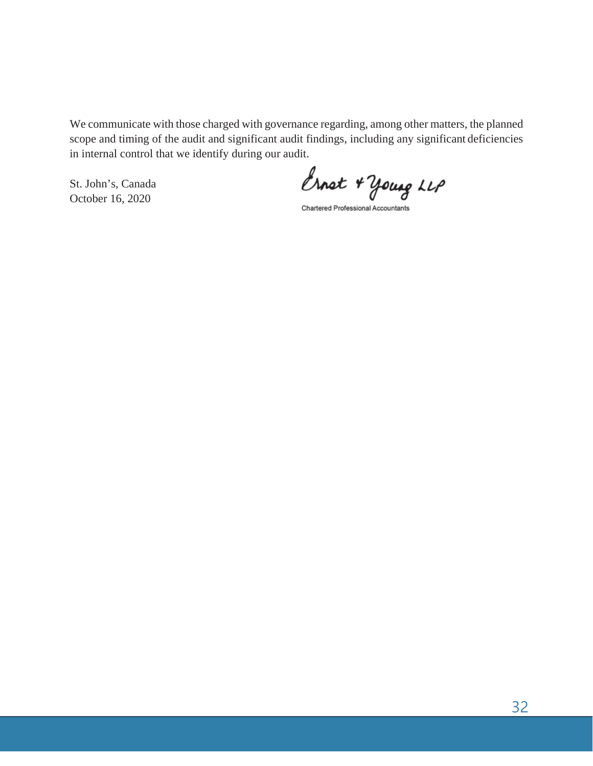We communicate with those charged with governance regarding, among other matters, the planned scope and timing of the audit and significant audit findings, including any significant deficiencies in internal control that we identify during our audit.

St. John's, Canada October 16, 2020

Ernst + young LLP

Chartered Professional Accountants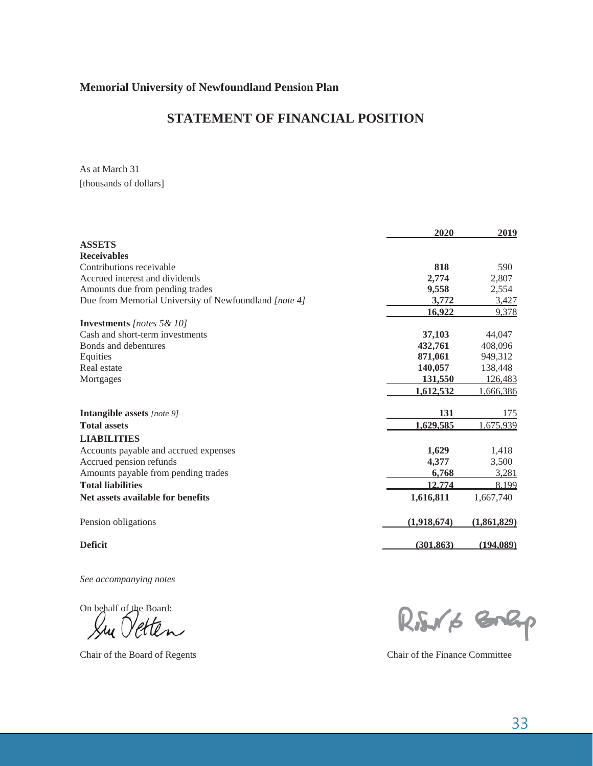### **STATEMENT OF FINANCIAL POSITION**

As at March 31 [thousands of dollars]

|                                                       | 2020        | 2019        |
|-------------------------------------------------------|-------------|-------------|
| <b>ASSETS</b>                                         |             |             |
| <b>Receivables</b>                                    |             |             |
| Contributions receivable                              | 818         | 590         |
| Accrued interest and dividends                        | 2,774       | 2,807       |
| Amounts due from pending trades                       | 9,558       | 2,554       |
| Due from Memorial University of Newfoundland [note 4] | 3,772       | 3,427       |
|                                                       | 16,922      | 9,378       |
| <b>Investments</b> [notes 5& 10]                      |             |             |
| Cash and short-term investments                       | 37,103      | 44,047      |
| Bonds and debentures                                  | 432,761     | 408,096     |
| Equities                                              | 871,061     | 949,312     |
| Real estate                                           | 140,057     | 138,448     |
| Mortgages                                             | 131,550     | 126,483     |
|                                                       | 1,612,532   | 1,666,386   |
| Intangible assets [note 9]                            | 131         | 175         |
| <b>Total assets</b>                                   | 1,629,585   | 1,675,939   |
| <b>LIABILITIES</b>                                    |             |             |
| Accounts payable and accrued expenses                 | 1,629       | 1,418       |
| Accrued pension refunds                               | 4,377       | 3,500       |
| Amounts payable from pending trades                   | 6,768       | 3,281       |
| <b>Total liabilities</b>                              | 12,774      | 8,199       |
| Net assets available for benefits                     | 1,616,811   | 1,667,740   |
| Pension obligations                                   | (1,918,674) | (1,861,829) |
| <b>Deficit</b>                                        | (301, 863)  | (194,089)   |

*See accompanying notes*

On behalf of the Board:

Su Vetten

RISY & BARp

Chair of the Board of Regents Chair of the Finance Committee

33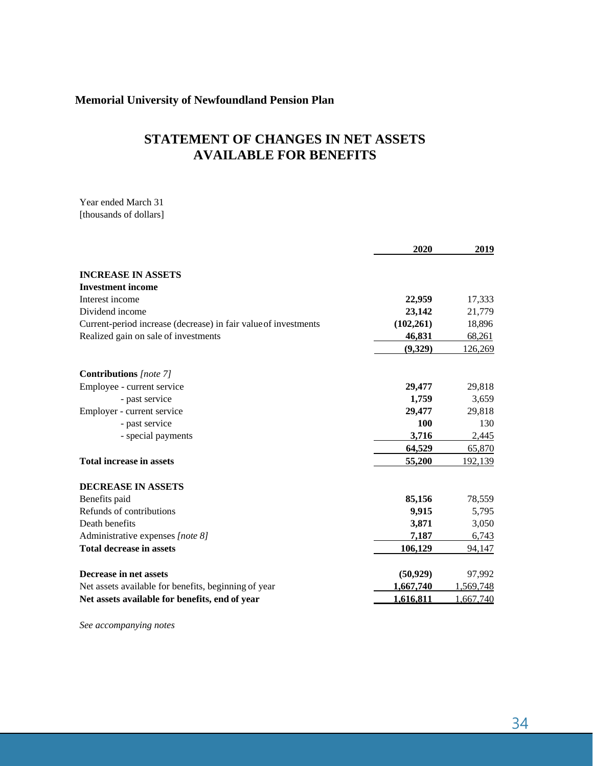### **STATEMENT OF CHANGES IN NET ASSETS AVAILABLE FOR BENEFITS**

Year ended March 31 [thousands of dollars]

|                                                                 | 2020       | 2019           |
|-----------------------------------------------------------------|------------|----------------|
| <b>INCREASE IN ASSETS</b>                                       |            |                |
| <b>Investment income</b>                                        |            |                |
| Interest income                                                 | 22,959     | 17,333         |
| Dividend income                                                 | 23,142     | 21,779         |
| Current-period increase (decrease) in fair value of investments | (102, 261) | 18,896         |
| Realized gain on sale of investments                            | 46,831     | 68,261         |
|                                                                 | (9,329)    | 126,269        |
| <b>Contributions</b> [note 7]                                   |            |                |
| Employee - current service                                      | 29,477     | 29,818         |
| - past service                                                  | 1,759      | 3,659          |
| Employer - current service                                      | 29,477     | 29,818         |
| - past service                                                  | 100        | 130            |
| - special payments                                              | 3,716      | 2,445          |
|                                                                 | 64,529     | 65,870         |
| <b>Total increase in assets</b>                                 | 55,200     | <u>192,139</u> |
| <b>DECREASE IN ASSETS</b>                                       |            |                |
| Benefits paid                                                   | 85,156     | 78,559         |
| Refunds of contributions                                        | 9,915      | 5,795          |
| Death benefits                                                  | 3,871      | 3,050          |
| Administrative expenses [note 8]                                | 7,187      | 6,743          |
| <b>Total decrease in assets</b>                                 | 106,129    | 94,147         |
| Decrease in net assets                                          | (50, 929)  | 97,992         |
| Net assets available for benefits, beginning of year            | 1,667,740  | 1,569,748      |
| Net assets available for benefits, end of year                  | 1,616,811  | .667,740       |

*See accompanying notes*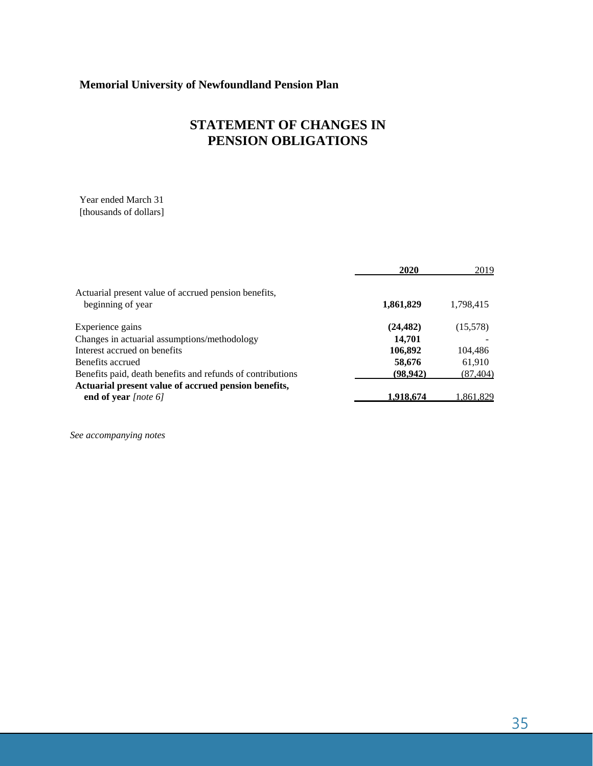### **STATEMENT OF CHANGES IN PENSION OBLIGATIONS**

Year ended March 31 [thousands of dollars]

|                                                            | 2020      | 2019      |
|------------------------------------------------------------|-----------|-----------|
| Actuarial present value of accrued pension benefits,       |           |           |
| beginning of year                                          | 1,861,829 | 1,798,415 |
| Experience gains                                           | (24, 482) | (15,578)  |
| Changes in actuarial assumptions/methodology               | 14,701    |           |
| Interest accrued on benefits                               | 106,892   | 104.486   |
| Benefits accrued                                           | 58,676    | 61,910    |
| Benefits paid, death benefits and refunds of contributions | (98, 942) | (87, 404) |
| Actuarial present value of accrued pension benefits,       |           |           |
| end of year [note 6]                                       | 1,918,674 | 1.861.829 |

*See accompanying notes*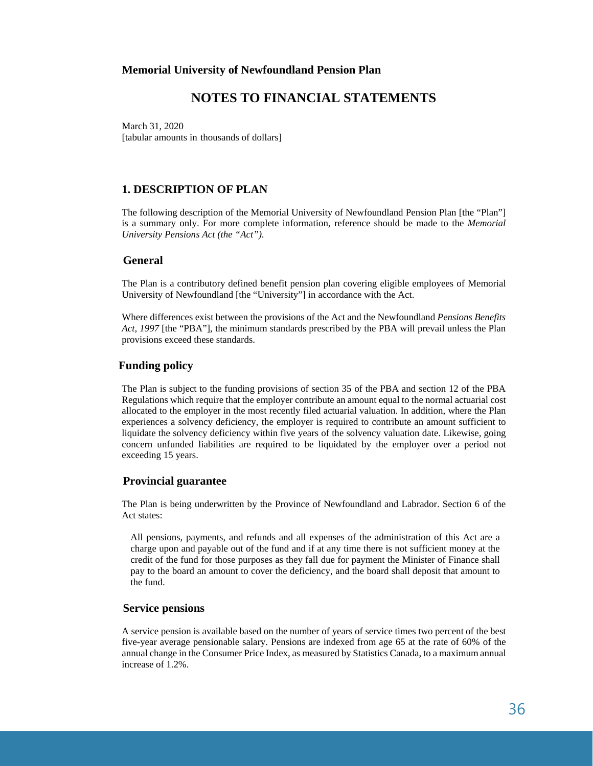#### **NOTES TO FINANCIAL STATEMENTS**

March 31, 2020 [tabular amounts in thousands of dollars]

#### **1. DESCRIPTION OF PLAN**

The following description of the Memorial University of Newfoundland Pension Plan [the "Plan"] is a summary only. For more complete information, reference should be made to the *Memorial University Pensions Act (the "Act")*.

#### **General**

The Plan is a contributory defined benefit pension plan covering eligible employees of Memorial University of Newfoundland [the "University"] in accordance with the Act.

Where differences exist between the provisions of the Act and the Newfoundland *Pensions Benefits Act, 1997* [the "PBA"], the minimum standards prescribed by the PBA will prevail unless the Plan provisions exceed these standards.

#### **Funding policy**

The Plan is subject to the funding provisions of section 35 of the PBA and section 12 of the PBA Regulations which require that the employer contribute an amount equal to the normal actuarial cost allocated to the employer in the most recently filed actuarial valuation. In addition, where the Plan experiences a solvency deficiency, the employer is required to contribute an amount sufficient to liquidate the solvency deficiency within five years of the solvency valuation date. Likewise, going concern unfunded liabilities are required to be liquidated by the employer over a period not exceeding 15 years.

#### **Provincial guarantee**

The Plan is being underwritten by the Province of Newfoundland and Labrador. Section 6 of the Act states:

All pensions, payments, and refunds and all expenses of the administration of this Act are a charge upon and payable out of the fund and if at any time there is not sufficient money at the credit of the fund for those purposes as they fall due for payment the Minister of Finance shall pay to the board an amount to cover the deficiency, and the board shall deposit that amount to the fund.

#### **Service pensions**

A service pension is available based on the number of years of service times two percent of the best five-year average pensionable salary. Pensions are indexed from age 65 at the rate of 60% of the annual change in the Consumer Price Index, as measured by Statistics Canada, to a maximum annual increase of 1.2%.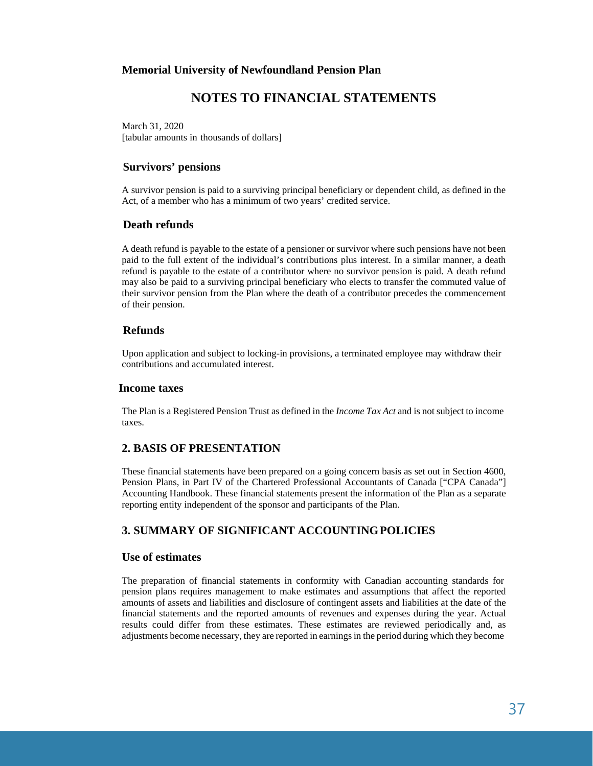#### **NOTES TO FINANCIAL STATEMENTS**

March 31, 2020 [tabular amounts in thousands of dollars]

#### **Survivors' pensions**

A survivor pension is paid to a surviving principal beneficiary or dependent child, as defined in the Act, of a member who has a minimum of two years' credited service.

#### **Death refunds**

A death refund is payable to the estate of a pensioner or survivor where such pensions have not been paid to the full extent of the individual's contributions plus interest. In a similar manner, a death refund is payable to the estate of a contributor where no survivor pension is paid. A death refund may also be paid to a surviving principal beneficiary who elects to transfer the commuted value of their survivor pension from the Plan where the death of a contributor precedes the commencement of their pension.

#### **Refunds**

Upon application and subject to locking-in provisions, a terminated employee may withdraw their contributions and accumulated interest.

#### **Income taxes**

The Plan is a Registered Pension Trust as defined in the *Income Tax Act* and is not subject to income taxes.

#### **2. BASIS OF PRESENTATION**

These financial statements have been prepared on a going concern basis as set out in Section 4600, Pension Plans, in Part IV of the Chartered Professional Accountants of Canada ["CPA Canada"] Accounting Handbook. These financial statements present the information of the Plan as a separate reporting entity independent of the sponsor and participants of the Plan.

#### **3. SUMMARY OF SIGNIFICANT ACCOUNTING POLICIES**

#### **Use of estimates**

The preparation of financial statements in conformity with Canadian accounting standards for pension plans requires management to make estimates and assumptions that affect the reported amounts of assets and liabilities and disclosure of contingent assets and liabilities at the date of the financial statements and the reported amounts of revenues and expenses during the year. Actual results could differ from these estimates. These estimates are reviewed periodically and, as adjustments become necessary, they are reported in earnings in the period during which they become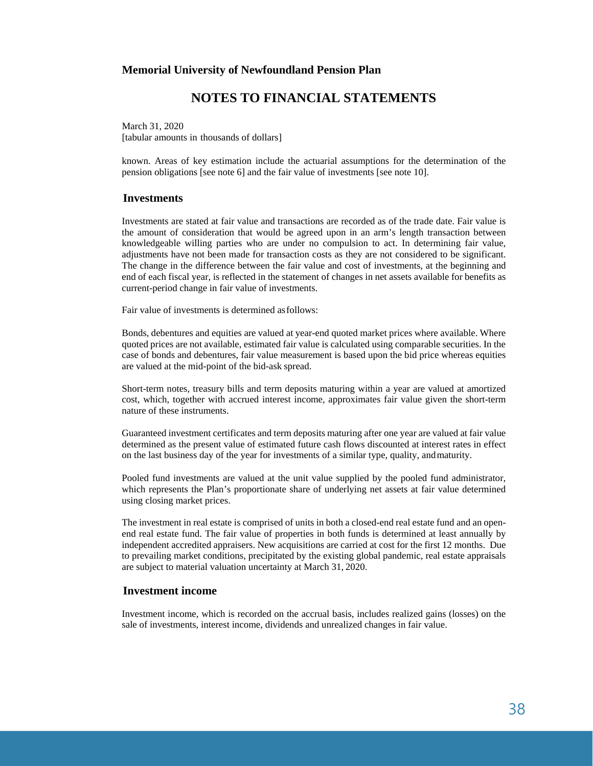#### **NOTES TO FINANCIAL STATEMENTS**

March 31, 2020 [tabular amounts in thousands of dollars]

known. Areas of key estimation include the actuarial assumptions for the determination of the pension obligations [see note 6] and the fair value of investments [see note 10].

#### **Investments**

Investments are stated at fair value and transactions are recorded as of the trade date. Fair value is the amount of consideration that would be agreed upon in an arm's length transaction between knowledgeable willing parties who are under no compulsion to act. In determining fair value, adjustments have not been made for transaction costs as they are not considered to be significant. The change in the difference between the fair value and cost of investments, at the beginning and end of each fiscal year, is reflected in the statement of changes in net assets available for benefits as current-period change in fair value of investments.

Fair value of investments is determined as follows:

Bonds, debentures and equities are valued at year-end quoted market prices where available. Where quoted prices are not available, estimated fair value is calculated using comparable securities. In the case of bonds and debentures, fair value measurement is based upon the bid price whereas equities are valued at the mid-point of the bid-ask spread.

Short-term notes, treasury bills and term deposits maturing within a year are valued at amortized cost, which, together with accrued interest income, approximates fair value given the short-term nature of these instruments.

Guaranteed investment certificates and term deposits maturing after one year are valued at fair value determined as the present value of estimated future cash flows discounted at interest rates in effect on the last business day of the year for investments of a similar type, quality, and maturity.

Pooled fund investments are valued at the unit value supplied by the pooled fund administrator, which represents the Plan's proportionate share of underlying net assets at fair value determined using closing market prices.

The investment in real estate is comprised of units in both a closed-end real estate fund and an openend real estate fund. The fair value of properties in both funds is determined at least annually by independent accredited appraisers. New acquisitions are carried at cost for the first 12 months. Due to prevailing market conditions, precipitated by the existing global pandemic, real estate appraisals are subject to material valuation uncertainty at March 31, 2020.

#### **Investment income**

Investment income, which is recorded on the accrual basis, includes realized gains (losses) on the sale of investments, interest income, dividends and unrealized changes in fair value.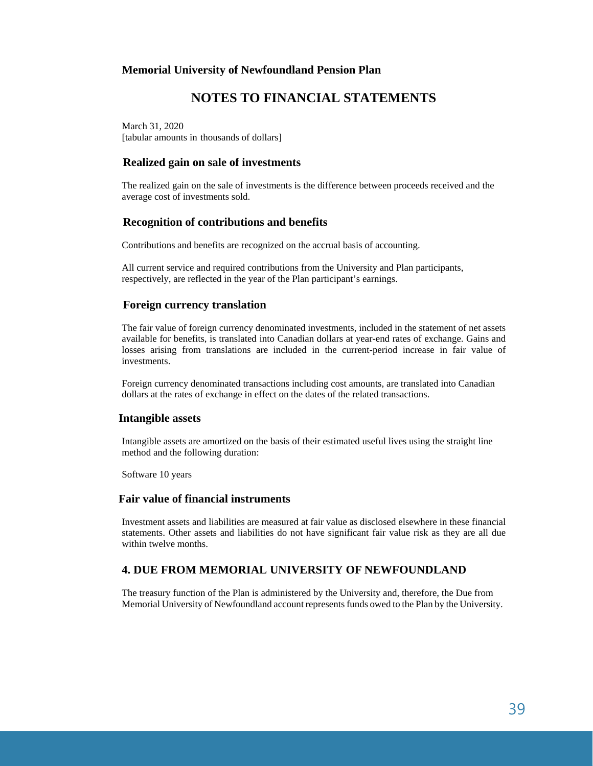#### **NOTES TO FINANCIAL STATEMENTS**

March 31, 2020 [tabular amounts in thousands of dollars]

#### **Realized gain on sale of investments**

The realized gain on the sale of investments is the difference between proceeds received and the average cost of investments sold.

#### **Recognition of contributions and benefits**

Contributions and benefits are recognized on the accrual basis of accounting.

All current service and required contributions from the University and Plan participants, respectively, are reflected in the year of the Plan participant's earnings.

#### **Foreign currency translation**

The fair value of foreign currency denominated investments, included in the statement of net assets available for benefits, is translated into Canadian dollars at year-end rates of exchange. Gains and losses arising from translations are included in the current-period increase in fair value of investments.

Foreign currency denominated transactions including cost amounts, are translated into Canadian dollars at the rates of exchange in effect on the dates of the related transactions.

#### **Intangible assets**

Intangible assets are amortized on the basis of their estimated useful lives using the straight line method and the following duration:

Software 10 years

#### **Fair value of financial instruments**

Investment assets and liabilities are measured at fair value as disclosed elsewhere in these financial statements. Other assets and liabilities do not have significant fair value risk as they are all due within twelve months.

#### **4. DUE FROM MEMORIAL UNIVERSITY OF NEWFOUNDLAND**

The treasury function of the Plan is administered by the University and, therefore, the Due from Memorial University of Newfoundland account represents funds owed to the Plan by the University.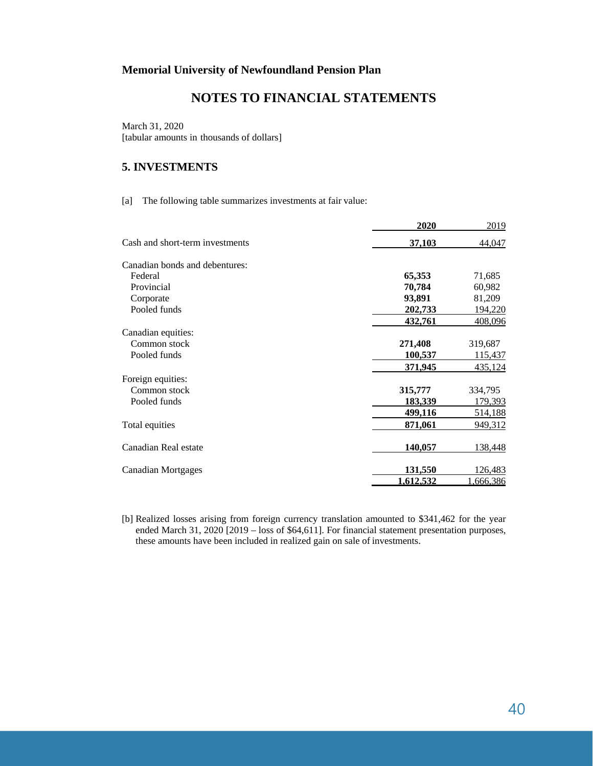### **NOTES TO FINANCIAL STATEMENTS**

March 31, 2020

[tabular amounts in thousands of dollars]

#### **5. INVESTMENTS**

[a] The following table summarizes investments at fair value:

|                                 | 2020      | 2019     |
|---------------------------------|-----------|----------|
| Cash and short-term investments | 37,103    | 44,047   |
| Canadian bonds and debentures:  |           |          |
| Federal                         | 65,353    | 71,685   |
| Provincial                      | 70,784    | 60,982   |
| Corporate                       | 93,891    | 81,209   |
| Pooled funds                    | 202,733   | 194,220  |
|                                 | 432,761   | 408,096  |
| Canadian equities:              |           |          |
| Common stock                    | 271,408   | 319,687  |
| Pooled funds                    | 100,537   | 115,437  |
|                                 | 371,945   | 435,124  |
| Foreign equities:               |           |          |
| Common stock                    | 315,777   | 334,795  |
| Pooled funds                    | 183,339   | 179,393  |
|                                 | 499,116   | 514,188  |
| Total equities                  | 871,061   | 949,312  |
| Canadian Real estate            | 140,057   | 138,448  |
| <b>Canadian Mortgages</b>       | 131,550   | 126,483  |
|                                 | 1.612.532 | .666.386 |

[b] Realized losses arising from foreign currency translation amounted to \$341,462 for the year ended March 31, 2020 [2019 – loss of \$64,611]. For financial statement presentation purposes, these amounts have been included in realized gain on sale of investments.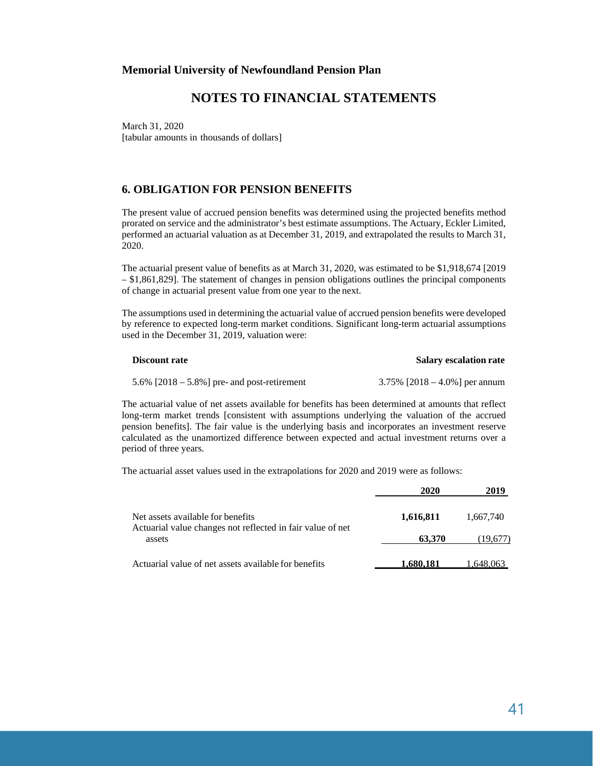#### **NOTES TO FINANCIAL STATEMENTS**

March 31, 2020 [tabular amounts in thousands of dollars]

#### **6. OBLIGATION FOR PENSION BENEFITS**

The present value of accrued pension benefits was determined using the projected benefits method prorated on service and the administrator's best estimate assumptions. The Actuary, Eckler Limited, performed an actuarial valuation as at December 31, 2019, and extrapolated the results to March 31, 2020.

The actuarial present value of benefits as at March 31, 2020, was estimated to be \$1,918,674 [2019 – \$1,861,829]. The statement of changes in pension obligations outlines the principal components of change in actuarial present value from one year to the next.

The assumptions used in determining the actuarial value of accrued pension benefits were developed by reference to expected long-term market conditions. Significant long-term actuarial assumptions used in the December 31, 2019, valuation were:

#### **Discount rate** Salary escalation rate **Salary escalation rate**  $S$

5.6% [2018 – 5.8%] pre- and post-retirement 3.75% [2018 – 4.0%] per annum

The actuarial value of net assets available for benefits has been determined at amounts that reflect long-term market trends [consistent with assumptions underlying the valuation of the accrued pension benefits]. The fair value is the underlying basis and incorporates an investment reserve calculated as the unamortized difference between expected and actual investment returns over a period of three years.

The actuarial asset values used in the extrapolations for 2020 and 2019 were as follows:

|                                                                                                 | 2020      | 2019      |
|-------------------------------------------------------------------------------------------------|-----------|-----------|
| Net assets available for benefits<br>Actuarial value changes not reflected in fair value of net | 1,616,811 | 1,667,740 |
| assets                                                                                          | 63.370    | (19,677)  |
| Actuarial value of net assets available for benefits                                            | 1.680.181 | .648.063  |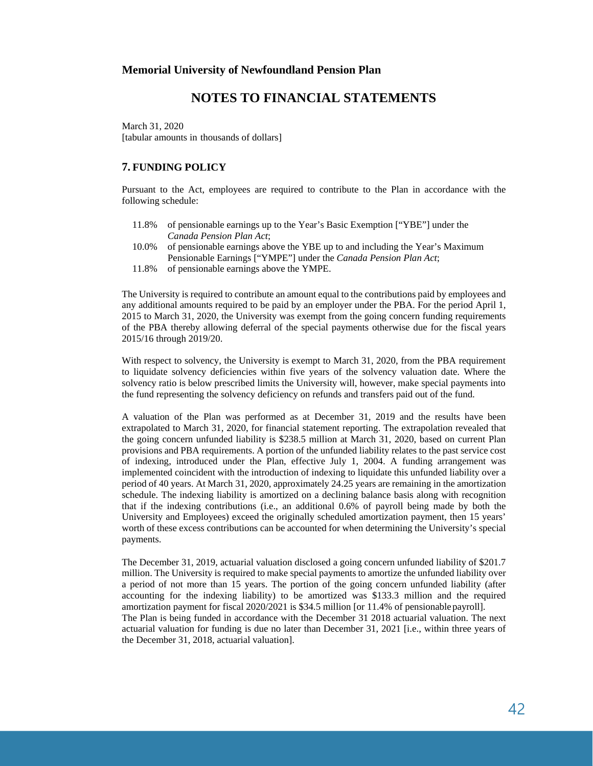#### **NOTES TO FINANCIAL STATEMENTS**

March 31, 2020 [tabular amounts in thousands of dollars]

#### **7. FUNDING POLICY**

Pursuant to the Act, employees are required to contribute to the Plan in accordance with the following schedule:

- 11.8% of pensionable earnings up to the Year's Basic Exemption ["YBE"] under the *Canada Pension Plan Act*;
- 10.0% of pensionable earnings above the YBE up to and including the Year's Maximum Pensionable Earnings ["YMPE"] under the *Canada Pension Plan Act*;
- 11.8% of pensionable earnings above the YMPE.

The University is required to contribute an amount equal to the contributions paid by employees and any additional amounts required to be paid by an employer under the PBA. For the period April 1, 2015 to March 31, 2020, the University was exempt from the going concern funding requirements of the PBA thereby allowing deferral of the special payments otherwise due for the fiscal years 2015/16 through 2019/20.

With respect to solvency, the University is exempt to March 31, 2020, from the PBA requirement to liquidate solvency deficiencies within five years of the solvency valuation date. Where the solvency ratio is below prescribed limits the University will, however, make special payments into the fund representing the solvency deficiency on refunds and transfers paid out of the fund.

A valuation of the Plan was performed as at December 31, 2019 and the results have been extrapolated to March 31, 2020, for financial statement reporting. The extrapolation revealed that the going concern unfunded liability is \$238.5 million at March 31, 2020, based on current Plan provisions and PBA requirements. A portion of the unfunded liability relates to the past service cost of indexing, introduced under the Plan, effective July 1, 2004. A funding arrangement was implemented coincident with the introduction of indexing to liquidate this unfunded liability over a period of 40 years. At March 31, 2020, approximately 24.25 years are remaining in the amortization schedule. The indexing liability is amortized on a declining balance basis along with recognition that if the indexing contributions (i.e., an additional 0.6% of payroll being made by both the University and Employees) exceed the originally scheduled amortization payment, then 15 years' worth of these excess contributions can be accounted for when determining the University's special payments.

The December 31, 2019, actuarial valuation disclosed a going concern unfunded liability of \$201.7 million. The University is required to make special payments to amortize the unfunded liability over a period of not more than 15 years. The portion of the going concern unfunded liability (after accounting for the indexing liability) to be amortized was \$133.3 million and the required amortization payment for fiscal 2020/2021 is \$34.5 million [or 11.4% of pensionable payroll]. The Plan is being funded in accordance with the December 31 2018 actuarial valuation. The next actuarial valuation for funding is due no later than December 31, 2021 [i.e., within three years of the December 31, 2018, actuarial valuation].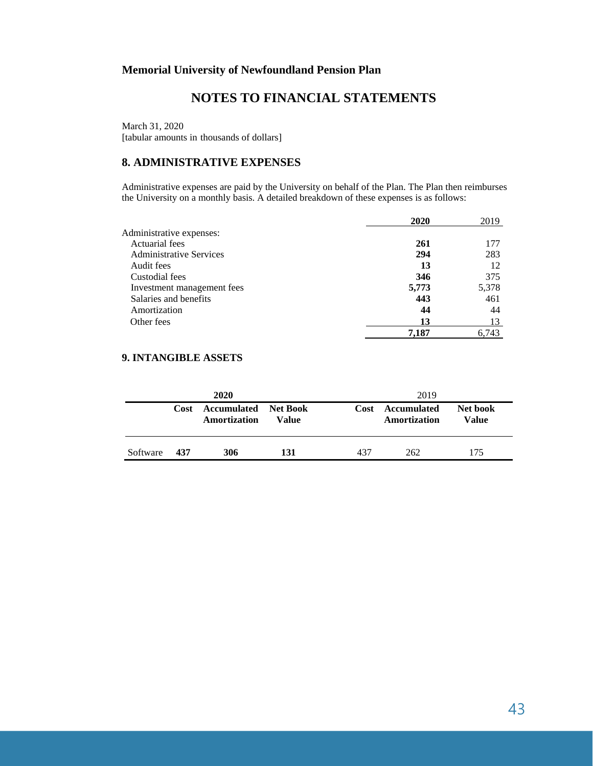### **NOTES TO FINANCIAL STATEMENTS**

March 31, 2020 [tabular amounts in thousands of dollars]

## **8. ADMINISTRATIVE EXPENSES**

Administrative expenses are paid by the University on behalf of the Plan. The Plan then reimburses the University on a monthly basis. A detailed breakdown of these expenses is as follows:

|                                | 2020  | 2019  |
|--------------------------------|-------|-------|
| Administrative expenses:       |       |       |
| <b>Actuarial</b> fees          | 261   | 177   |
| <b>Administrative Services</b> | 294   | 283   |
| Audit fees                     | 13    | 12    |
| Custodial fees                 | 346   | 375   |
| Investment management fees     | 5,773 | 5,378 |
| Salaries and benefits          | 443   | 461   |
| Amortization                   | 44    | 44    |
| Other fees                     | 13    | 13    |
|                                | 7.187 | 6,743 |

#### **9. INTANGIBLE ASSETS**

| 2020     |     |                                                  | 2019  |      |                                    |                   |
|----------|-----|--------------------------------------------------|-------|------|------------------------------------|-------------------|
|          |     | <b>Cost</b> Accumulated Net Book<br>Amortization | Value | Cost | <b>Accumulated</b><br>Amortization | Net book<br>Value |
| Software | 437 | 306                                              | 131   | 437  | 262                                | 175               |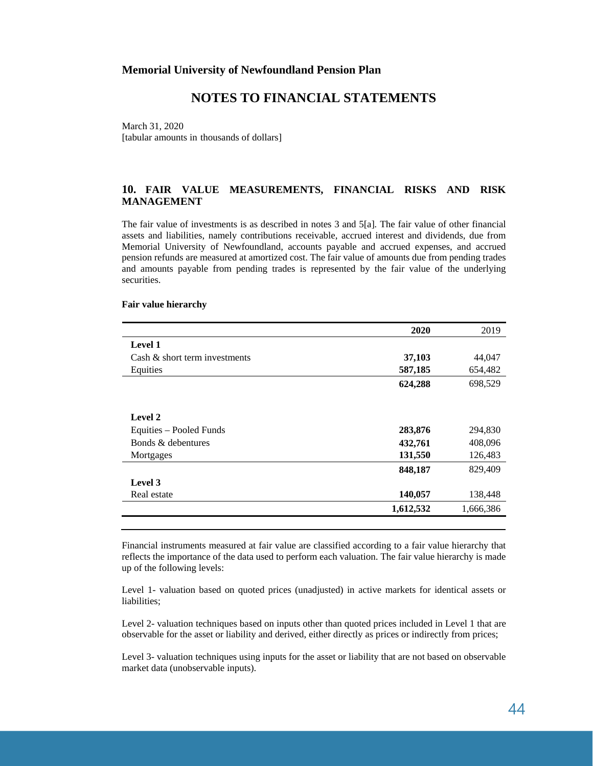#### **NOTES TO FINANCIAL STATEMENTS**

March 31, 2020 [tabular amounts in thousands of dollars]

#### **10. FAIR VALUE MEASUREMENTS, FINANCIAL RISKS AND RISK MANAGEMENT**

The fair value of investments is as described in notes 3 and 5[a]*.* The fair value of other financial assets and liabilities, namely contributions receivable, accrued interest and dividends, due from Memorial University of Newfoundland, accounts payable and accrued expenses, and accrued pension refunds are measured at amortized cost. The fair value of amounts due from pending trades and amounts payable from pending trades is represented by the fair value of the underlying securities.

#### **Fair value hierarchy**

|                               | 2020      | 2019      |
|-------------------------------|-----------|-----------|
| Level 1                       |           |           |
| Cash & short term investments | 37,103    | 44,047    |
| Equities                      | 587,185   | 654,482   |
|                               | 624,288   | 698,529   |
|                               |           |           |
| Level 2                       |           |           |
| Equities – Pooled Funds       | 283,876   | 294,830   |
| Bonds & debentures            | 432,761   | 408,096   |
| Mortgages                     | 131,550   | 126,483   |
|                               | 848,187   | 829,409   |
| Level 3                       |           |           |
| Real estate                   | 140,057   | 138,448   |
|                               | 1,612,532 | 1,666,386 |
|                               |           |           |

Financial instruments measured at fair value are classified according to a fair value hierarchy that reflects the importance of the data used to perform each valuation. The fair value hierarchy is made up of the following levels:

Level 1- valuation based on quoted prices (unadjusted) in active markets for identical assets or liabilities;

Level 2- valuation techniques based on inputs other than quoted prices included in Level 1 that are observable for the asset or liability and derived, either directly as prices or indirectly from prices;

Level 3- valuation techniques using inputs for the asset or liability that are not based on observable market data (unobservable inputs).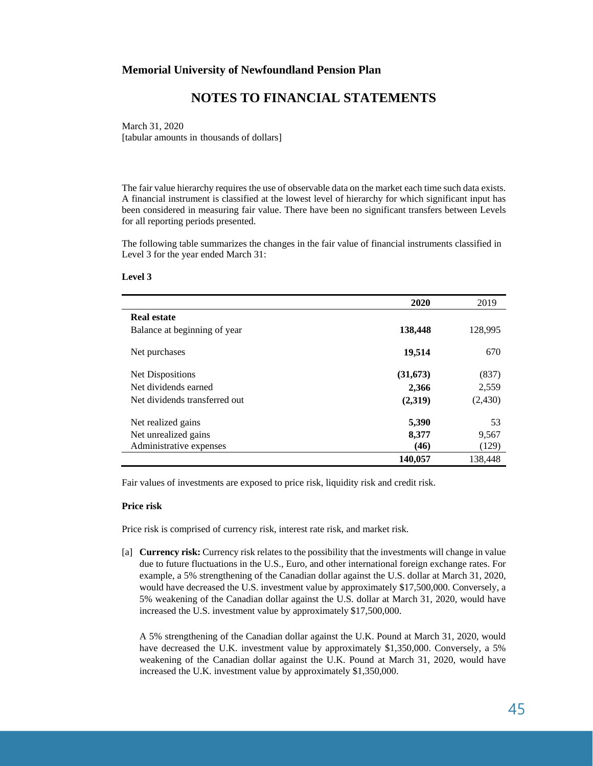#### **NOTES TO FINANCIAL STATEMENTS**

March 31, 2020 [tabular amounts in thousands of dollars]

The fair value hierarchy requires the use of observable data on the market each time such data exists. A financial instrument is classified at the lowest level of hierarchy for which significant input has been considered in measuring fair value. There have been no significant transfers between Levels for all reporting periods presented.

The following table summarizes the changes in the fair value of financial instruments classified in Level 3 for the year ended March 31:

#### **Level 3**

|                               | 2020     | 2019    |
|-------------------------------|----------|---------|
| <b>Real estate</b>            |          |         |
| Balance at beginning of year  | 138,448  | 128,995 |
| Net purchases                 | 19,514   | 670     |
| Net Dispositions              | (31,673) | (837)   |
| Net dividends earned          | 2,366    | 2,559   |
| Net dividends transferred out | (2,319)  | (2,430) |
| Net realized gains            | 5,390    | 53      |
| Net unrealized gains          | 8,377    | 9,567   |
| Administrative expenses       | (46)     | (129)   |
|                               | 140,057  | 138.448 |

Fair values of investments are exposed to price risk, liquidity risk and credit risk.

#### **Price risk**

Price risk is comprised of currency risk, interest rate risk, and market risk.

[a] **Currency risk:** Currency risk relates to the possibility that the investments will change in value due to future fluctuations in the U.S., Euro, and other international foreign exchange rates. For example, a 5% strengthening of the Canadian dollar against the U.S. dollar at March 31, 2020, would have decreased the U.S. investment value by approximately \$17,500,000. Conversely, a 5% weakening of the Canadian dollar against the U.S. dollar at March 31, 2020, would have increased the U.S. investment value by approximately \$17,500,000.

A 5% strengthening of the Canadian dollar against the U.K. Pound at March 31, 2020, would have decreased the U.K. investment value by approximately \$1,350,000. Conversely, a 5% weakening of the Canadian dollar against the U.K. Pound at March 31, 2020, would have increased the U.K. investment value by approximately \$1,350,000.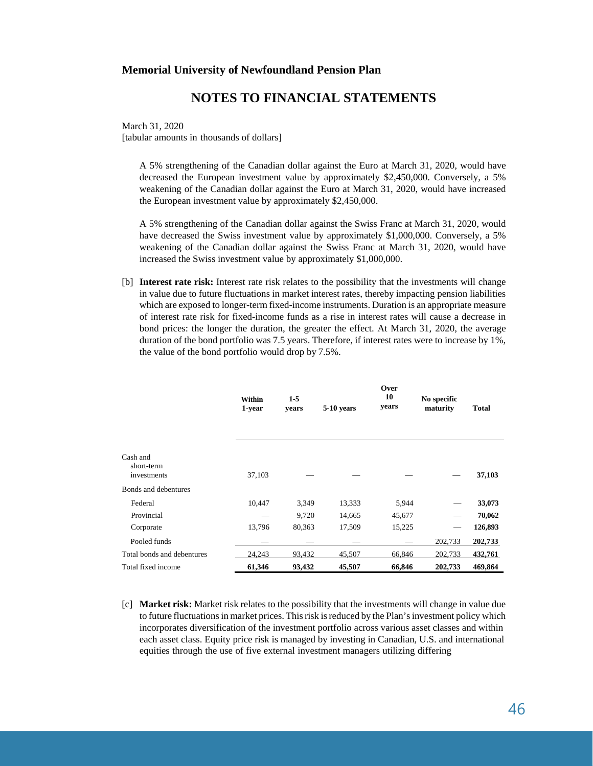#### **NOTES TO FINANCIAL STATEMENTS**

March 31, 2020 [tabular amounts in thousands of dollars]

> A 5% strengthening of the Canadian dollar against the Euro at March 31, 2020, would have decreased the European investment value by approximately \$2,450,000. Conversely, a 5% weakening of the Canadian dollar against the Euro at March 31, 2020, would have increased the European investment value by approximately \$2,450,000.

> A 5% strengthening of the Canadian dollar against the Swiss Franc at March 31, 2020, would have decreased the Swiss investment value by approximately \$1,000,000. Conversely, a 5% weakening of the Canadian dollar against the Swiss Franc at March 31, 2020, would have increased the Swiss investment value by approximately \$1,000,000.

[b] **Interest rate risk:** Interest rate risk relates to the possibility that the investments will change in value due to future fluctuations in market interest rates, thereby impacting pension liabilities which are exposed to longer-term fixed-income instruments. Duration is an appropriate measure of interest rate risk for fixed-income funds as a rise in interest rates will cause a decrease in bond prices: the longer the duration, the greater the effect. At March 31, 2020, the average duration of the bond portfolio was 7.5 years. Therefore, if interest rates were to increase by 1%, the value of the bond portfolio would drop by 7.5%.

|                                       | Within<br>1-year | $1-5$<br>vears | 5-10 years | Over<br>10<br>years | No specific<br>maturity | <b>Total</b> |
|---------------------------------------|------------------|----------------|------------|---------------------|-------------------------|--------------|
| Cash and<br>short-term<br>investments | 37,103           |                |            |                     |                         | 37,103       |
| Bonds and debentures                  |                  |                |            |                     |                         |              |
| Federal                               | 10,447           | 3,349          | 13,333     | 5,944               |                         | 33,073       |
| Provincial                            |                  | 9,720          | 14,665     | 45,677              |                         | 70,062       |
| Corporate                             | 13,796           | 80,363         | 17,509     | 15,225              |                         | 126,893      |
| Pooled funds                          |                  |                |            |                     | 202,733                 | 202,733      |
| Total bonds and debentures            | 24,243           | 93,432         | 45,507     | 66,846              | 202,733                 | 432,761      |
| Total fixed income                    | 61,346           | 93,432         | 45,507     | 66,846              | 202,733                 | 469,864      |

[c] **Market risk:** Market risk relates to the possibility that the investments will change in value due to future fluctuations in market prices. This risk is reduced by the Plan's investment policy which incorporates diversification of the investment portfolio across various asset classes and within each asset class. Equity price risk is managed by investing in Canadian, U.S. and international equities through the use of five external investment managers utilizing differing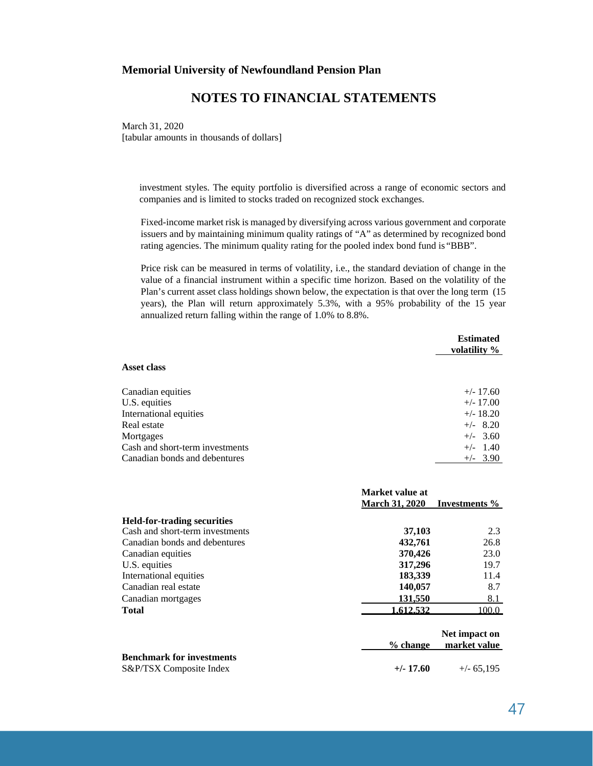#### **NOTES TO FINANCIAL STATEMENTS**

March 31, 2020 [tabular amounts in thousands of dollars]

> investment styles. The equity portfolio is diversified across a range of economic sectors and companies and is limited to stocks traded on recognized stock exchanges.

> Fixed-income market risk is managed by diversifying across various government and corporate issuers and by maintaining minimum quality ratings of "A" as determined by recognized bond rating agencies. The minimum quality rating for the pooled index bond fund is "BBB".

> Price risk can be measured in terms of volatility, i.e., the standard deviation of change in the value of a financial instrument within a specific time horizon. Based on the volatility of the Plan's current asset class holdings shown below, the expectation is that over the long term (15 years), the Plan will return approximately 5.3%, with a 95% probability of the 15 year annualized return falling within the range of 1.0% to 8.8%.

|                                 | <b>Estimated</b><br>volatility % |
|---------------------------------|----------------------------------|
| Asset class                     |                                  |
| Canadian equities               | $+/- 17.60$                      |
| U.S. equities                   | $+/- 17.00$                      |
| International equities          | $+/- 18.20$                      |
| Real estate                     | $+/-$ 8.20                       |
| Mortgages                       | $+/-$ 3.60                       |
| Cash and short-term investments | $+/-$ 1.40                       |
| Canadian bonds and debentures   | $+/-$ 3.90                       |

|                                    | Market value at       |                               |
|------------------------------------|-----------------------|-------------------------------|
|                                    | <b>March 31, 2020</b> | Investments %                 |
| <b>Held-for-trading securities</b> |                       |                               |
| Cash and short-term investments    | 37,103                | 2.3                           |
| Canadian bonds and debentures      | 432,761               | 26.8                          |
| Canadian equities                  | 370,426               | 23.0                          |
| U.S. equities                      | 317,296               | 19.7                          |
| International equities             | 183,339               | 11.4                          |
| Canadian real estate               | 140,057               | 8.7                           |
| Canadian mortgages                 | 131.550               | 8.1                           |
| Total                              | 1,612,532             | 100.0                         |
|                                    | $%$ change            | Net impact on<br>market value |
| <b>Benchmark for investments</b>   |                       |                               |
| S&P/TSX Composite Index            | $+/- 17.60$           | $+/- 65.195$                  |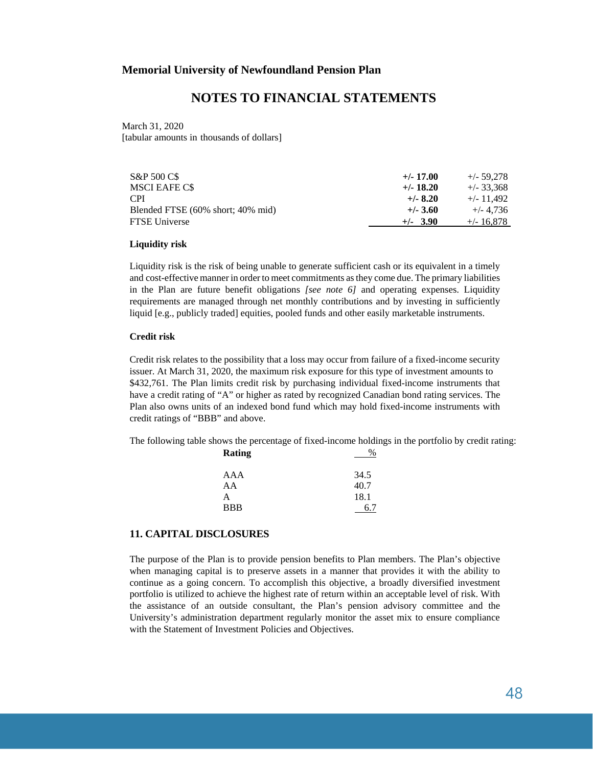#### **NOTES TO FINANCIAL STATEMENTS**

March 31, 2020 [tabular amounts in thousands of dollars]

| S&P 500 C\$                       | $+/- 17.00$ | $+/- 59.278$ |
|-----------------------------------|-------------|--------------|
| <b>MSCI EAFE CS</b>               | $+/- 18.20$ | $+/- 33.368$ |
| <b>CPI</b>                        | $+/- 8.20$  | $+/- 11.492$ |
| Blended FTSE (60% short; 40% mid) | $+/-$ 3.60  | $+/- 4.736$  |
| <b>FTSE Universe</b>              | $+/-$ 3.90  | $+/- 16.878$ |

#### **Liquidity risk**

Liquidity risk is the risk of being unable to generate sufficient cash or its equivalent in a timely and cost-effective manner in order to meet commitments as they come due. The primary liabilities in the Plan are future benefit obligations *[see note 6]* and operating expenses. Liquidity requirements are managed through net monthly contributions and by investing in sufficiently liquid [e.g., publicly traded] equities, pooled funds and other easily marketable instruments.

#### **Credit risk**

Credit risk relates to the possibility that a loss may occur from failure of a fixed-income security issuer. At March 31, 2020, the maximum risk exposure for this type of investment amounts to \$432,761. The Plan limits credit risk by purchasing individual fixed-income instruments that have a credit rating of "A" or higher as rated by recognized Canadian bond rating services. The Plan also owns units of an indexed bond fund which may hold fixed-income instruments with credit ratings of "BBB" and above.

The following table shows the percentage of fixed-income holdings in the portfolio by credit rating:

| <b>Rating</b> |      |
|---------------|------|
| AAA           | 34.5 |
| AA            | 40.7 |
| А             | 18.1 |
| <b>BBB</b>    | 67   |

#### **11. CAPITAL DISCLOSURES**

The purpose of the Plan is to provide pension benefits to Plan members. The Plan's objective when managing capital is to preserve assets in a manner that provides it with the ability to continue as a going concern. To accomplish this objective, a broadly diversified investment portfolio is utilized to achieve the highest rate of return within an acceptable level of risk. With the assistance of an outside consultant, the Plan's pension advisory committee and the University's administration department regularly monitor the asset mix to ensure compliance with the Statement of Investment Policies and Objectives.